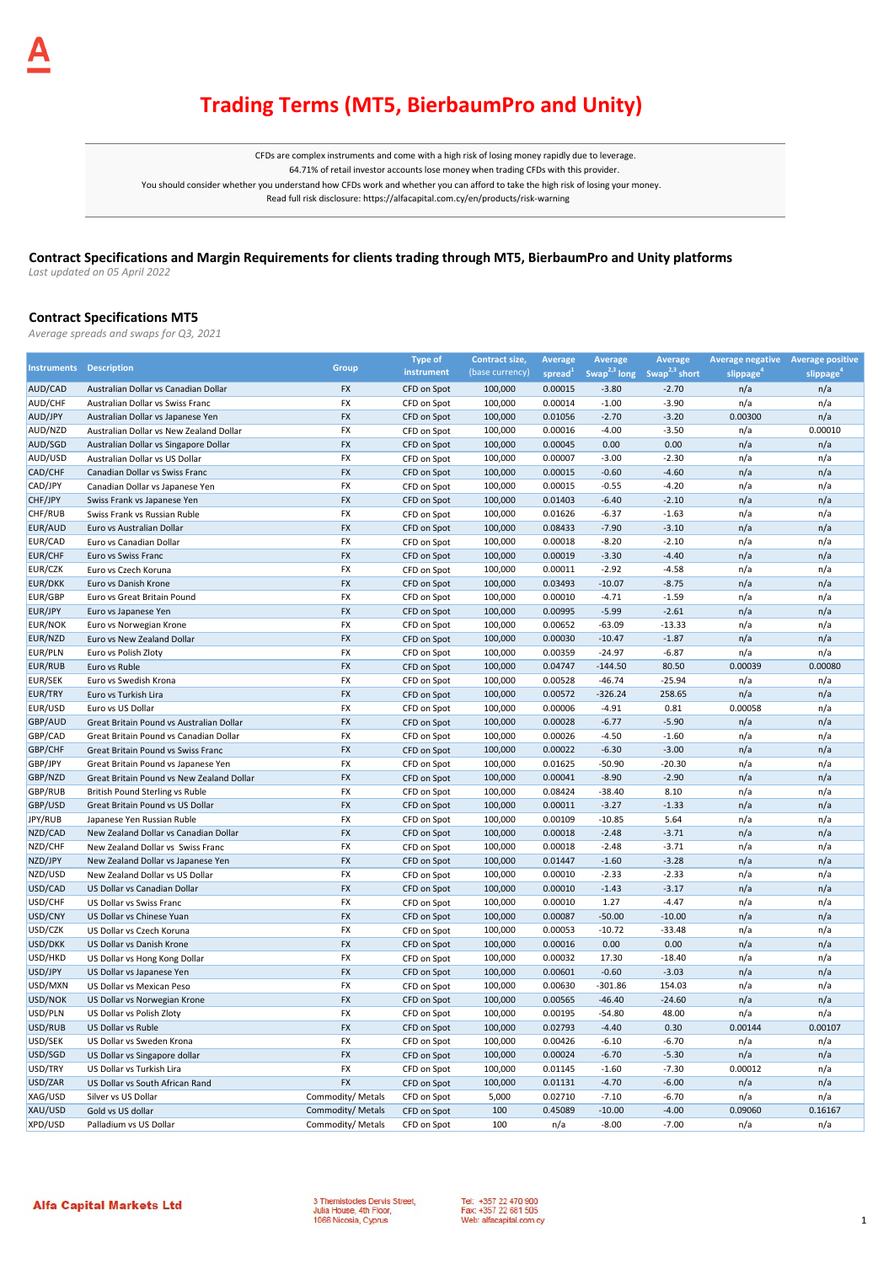## **Trading Terms (MT5, BierbaumPro and Unity)**

CFDs are complex instruments and come with a high risk of losing money rapidly due to leverage. 64.71% of retail investor accounts lose money when trading CFDs with this provider. You should consider whether you understand how CFDs work and whether you can afford to take the high risk of losing your money. Read full risk disclosure: https://alfacapital.com.cy/en/products/risk-warning

## **Contract Specifications and Margin Requirements for clients trading through MT5, BierbaumPro and Unity platforms**

*Last updated on 05 April 2022* 

### **Contract Specifications MT5**

*Average spreads and swaps for Q3, 2021*

|                                |                                           |                   | <b>Type of</b> | Contract size,  | Average             | <b>Average</b> | Average                                            | Average negative Average positive |                       |
|--------------------------------|-------------------------------------------|-------------------|----------------|-----------------|---------------------|----------------|----------------------------------------------------|-----------------------------------|-----------------------|
| <b>Instruments Description</b> |                                           | Group             | instrument     | (base currency) | spread <sup>1</sup> |                | Swap <sup>2,3</sup> long Swap <sup>2,3</sup> short | slippage <sup>*</sup>             | slippage <sup>4</sup> |
| AUD/CAD                        | Australian Dollar vs Canadian Dollar      | FX                | CFD on Spot    | 100,000         | 0.00015             | $-3.80$        | $-2.70$                                            | n/a                               | n/a                   |
| AUD/CHF                        | Australian Dollar vs Swiss Franc          | <b>FX</b>         | CFD on Spot    | 100,000         | 0.00014             | $-1.00$        | $-3.90$                                            | n/a                               | n/a                   |
| AUD/JPY                        | Australian Dollar vs Japanese Yen         | <b>FX</b>         | CFD on Spot    | 100,000         | 0.01056             | $-2.70$        | $-3.20$                                            | 0.00300                           | n/a                   |
| AUD/NZD                        | Australian Dollar vs New Zealand Dollar   | FX                | CFD on Spot    | 100,000         | 0.00016             | $-4.00$        | $-3.50$                                            | n/a                               | 0.00010               |
| AUD/SGD                        | Australian Dollar vs Singapore Dollar     | FX                | CFD on Spot    | 100,000         | 0.00045             | 0.00           | 0.00                                               | n/a                               | n/a                   |
| AUD/USD                        | Australian Dollar vs US Dollar            | FX                | CFD on Spot    | 100,000         | 0.00007             | $-3.00$        | $-2.30$                                            | n/a                               | n/a                   |
| CAD/CHF                        | Canadian Dollar vs Swiss Franc            | FX                | CFD on Spot    | 100,000         | 0.00015             | $-0.60$        | $-4.60$                                            | n/a                               | n/a                   |
| CAD/JPY                        | Canadian Dollar vs Japanese Yen           | <b>FX</b>         | CFD on Spot    | 100,000         | 0.00015             | $-0.55$        | $-4.20$                                            | n/a                               | n/a                   |
| CHF/JPY                        | Swiss Frank vs Japanese Yen               | FX                | CFD on Spot    | 100,000         | 0.01403             | $-6.40$        | $-2.10$                                            | n/a                               | n/a                   |
| CHF/RUB                        | Swiss Frank vs Russian Ruble              | FX                | CFD on Spot    | 100,000         | 0.01626             | $-6.37$        | $-1.63$                                            | n/a                               | n/a                   |
| EUR/AUD                        | Euro vs Australian Dollar                 | <b>FX</b>         | CFD on Spot    | 100,000         | 0.08433             | $-7.90$        | $-3.10$                                            | n/a                               | n/a                   |
| EUR/CAD                        | Euro vs Canadian Dollar                   | FX                | CFD on Spot    | 100,000         | 0.00018             | $-8.20$        | $-2.10$                                            | n/a                               | n/a                   |
| <b>EUR/CHF</b>                 | Euro vs Swiss Franc                       | <b>FX</b>         | CFD on Spot    | 100,000         | 0.00019             | $-3.30$        | $-4.40$                                            | n/a                               | n/a                   |
| EUR/CZK                        | Euro vs Czech Koruna                      | <b>FX</b>         | CFD on Spot    | 100,000         | 0.00011             | $-2.92$        | $-4.58$                                            | n/a                               | n/a                   |
| <b>EUR/DKK</b>                 | Euro vs Danish Krone                      | FX                | CFD on Spot    | 100,000         | 0.03493             | $-10.07$       | $-8.75$                                            | n/a                               | n/a                   |
| <b>EUR/GBP</b>                 | Euro vs Great Britain Pound               | FX                | CFD on Spot    | 100,000         | 0.00010             | $-4.71$        | $-1.59$                                            | n/a                               | n/a                   |
| EUR/JPY                        | Euro vs Japanese Yen                      | <b>FX</b>         | CFD on Spot    | 100,000         | 0.00995             | $-5.99$        | $-2.61$                                            | n/a                               | n/a                   |
| <b>EUR/NOK</b>                 | Euro vs Norwegian Krone                   | FX                | CFD on Spot    | 100,000         | 0.00652             | $-63.09$       | $-13.33$                                           | n/a                               | n/a                   |
| EUR/NZD                        | Euro vs New Zealand Dollar                | FX                | CFD on Spot    | 100,000         | 0.00030             | $-10.47$       | $-1.87$                                            | n/a                               | n/a                   |
| EUR/PLN                        | Euro vs Polish Zloty                      | FX                | CFD on Spot    | 100,000         | 0.00359             | $-24.97$       | $-6.87$                                            | n/a                               | n/a                   |
| <b>EUR/RUB</b>                 | Euro vs Ruble                             | <b>FX</b>         | CFD on Spot    | 100,000         | 0.04747             | $-144.50$      | 80.50                                              | 0.00039                           | 0.00080               |
| <b>EUR/SEK</b>                 | Euro vs Swedish Krona                     | FX                | CFD on Spot    | 100,000         | 0.00528             | $-46.74$       | $-25.94$                                           | n/a                               | n/a                   |
| EUR/TRY                        | Euro vs Turkish Lira                      | FX                | CFD on Spot    | 100,000         | 0.00572             | $-326.24$      | 258.65                                             | n/a                               | n/a                   |
| EUR/USD                        | Euro vs US Dollar                         | FX                | CFD on Spot    | 100,000         | 0.00006             | $-4.91$        | 0.81                                               | 0.00058                           | n/a                   |
| GBP/AUD                        | Great Britain Pound vs Australian Dollar  | <b>FX</b>         | CFD on Spot    | 100,000         | 0.00028             | $-6.77$        | $-5.90$                                            | n/a                               | n/a                   |
| GBP/CAD                        | Great Britain Pound vs Canadian Dollar    | FX                | CFD on Spot    | 100,000         | 0.00026             | $-4.50$        | $-1.60$                                            | n/a                               | n/a                   |
| GBP/CHF                        | Great Britain Pound vs Swiss Franc        | <b>FX</b>         | CFD on Spot    | 100,000         | 0.00022             | $-6.30$        | $-3.00$                                            | n/a                               | n/a                   |
| GBP/JPY                        | Great Britain Pound vs Japanese Yen       | FX                | CFD on Spot    | 100,000         | 0.01625             | $-50.90$       | $-20.30$                                           | n/a                               | n/a                   |
| GBP/NZD                        | Great Britain Pound vs New Zealand Dollar | <b>FX</b>         | CFD on Spot    | 100,000         | 0.00041             | $-8.90$        | $-2.90$                                            | n/a                               | n/a                   |
| GBP/RUB                        | British Pound Sterling vs Ruble           | FX                | CFD on Spot    | 100,000         | 0.08424             | $-38.40$       | 8.10                                               | n/a                               | n/a                   |
| GBP/USD                        | Great Britain Pound vs US Dollar          | <b>FX</b>         | CFD on Spot    | 100,000         | 0.00011             | $-3.27$        | $-1.33$                                            | n/a                               | n/a                   |
| JPY/RUB                        | Japanese Yen Russian Ruble                | FX                | CFD on Spot    | 100,000         | 0.00109             | $-10.85$       | 5.64                                               | n/a                               | n/a                   |
| NZD/CAD                        | New Zealand Dollar vs Canadian Dollar     | <b>FX</b>         | CFD on Spot    | 100,000         | 0.00018             | $-2.48$        | $-3.71$                                            | n/a                               | n/a                   |
| NZD/CHF                        | New Zealand Dollar vs Swiss Franc         | FX                | CFD on Spot    | 100,000         | 0.00018             | $-2.48$        | $-3.71$                                            | n/a                               | n/a                   |
| NZD/JPY                        | New Zealand Dollar vs Japanese Yen        | <b>FX</b>         | CFD on Spot    | 100,000         | 0.01447             | $-1.60$        | $-3.28$                                            | n/a                               | n/a                   |
| NZD/USD                        | New Zealand Dollar vs US Dollar           | FX                | CFD on Spot    | 100,000         | 0.00010             | $-2.33$        | $-2.33$                                            | n/a                               | n/a                   |
| USD/CAD                        | US Dollar vs Canadian Dollar              | <b>FX</b>         | CFD on Spot    | 100,000         | 0.00010             | $-1.43$        | $-3.17$                                            | n/a                               | n/a                   |
| USD/CHF                        | US Dollar vs Swiss Franc                  | FX                | CFD on Spot    | 100,000         | 0.00010             | 1.27           | $-4.47$                                            | n/a                               | n/a                   |
| USD/CNY                        | US Dollar vs Chinese Yuan                 | FX                | CFD on Spot    | 100,000         | 0.00087             | $-50.00$       | $-10.00$                                           | n/a                               | n/a                   |
| USD/CZK                        | US Dollar vs Czech Koruna                 | <b>FX</b>         | CFD on Spot    | 100,000         | 0.00053             | $-10.72$       | $-33.48$                                           | n/a                               | n/a                   |
| USD/DKK                        | US Dollar vs Danish Krone                 | <b>FX</b>         | CFD on Spot    | 100,000         | 0.00016             | 0.00           | 0.00                                               | n/a                               | n/a                   |
| USD/HKD                        | US Dollar vs Hong Kong Dollar             | FX                | CFD on Spot    | 100,000         | 0.00032             | 17.30          | $-18.40$                                           | n/a                               | n/a                   |
| USD/JPY                        | US Dollar vs Japanese Yen                 | <b>FX</b>         | CFD on Spot    | 100,000         | 0.00601             | $-0.60$        | $-3.03$                                            | n/a                               | n/a                   |
| USD/MXN                        | US Dollar vs Mexican Peso                 | FX                | CFD on Spot    | 100,000         | 0.00630             | $-301.86$      | 154.03                                             | n/a                               | n/a                   |
| USD/NOK                        | US Dollar vs Norwegian Krone              | FX                | CFD on Spot    | 100,000         | 0.00565             | $-46.40$       | $-24.60$                                           | n/a                               | n/a                   |
| USD/PLN                        | US Dollar vs Polish Zloty                 | FX                | CFD on Spot    | 100,000         | 0.00195             | $-54.80$       | 48.00                                              | n/a                               | n/a                   |
| USD/RUB                        | US Dollar vs Ruble                        | <b>FX</b>         | CFD on Spot    | 100,000         | 0.02793             | $-4.40$        | 0.30                                               | 0.00144                           | 0.00107               |
| USD/SEK                        | US Dollar vs Sweden Krona                 | FX                | CFD on Spot    | 100,000         | 0.00426             | $-6.10$        | $-6.70$                                            | n/a                               | n/a                   |
| USD/SGD                        | US Dollar vs Singapore dollar             | <b>FX</b>         | CFD on Spot    | 100,000         | 0.00024             | $-6.70$        | $-5.30$                                            | n/a                               | n/a                   |
| USD/TRY                        | US Dollar vs Turkish Lira                 | FX                | CFD on Spot    | 100,000         | 0.01145             | $-1.60$        | $-7.30$                                            | 0.00012                           | n/a                   |
| USD/ZAR                        | US Dollar vs South African Rand           | <b>FX</b>         | CFD on Spot    | 100,000         | 0.01131             | $-4.70$        | $-6.00$                                            | n/a                               | n/a                   |
| XAG/USD                        | Silver vs US Dollar                       | Commodity/ Metals | CFD on Spot    | 5,000           | 0.02710             | $-7.10$        | $-6.70$                                            | n/a                               | n/a                   |
| XAU/USD                        | Gold vs US dollar                         | Commodity/ Metals | CFD on Spot    | 100             | 0.45089             | $-10.00$       | $-4.00$                                            | 0.09060                           | 0.16167               |
| XPD/USD                        | Palladium vs US Dollar                    | Commodity/ Metals | CFD on Spot    | 100             | n/a                 | $-8.00$        | $-7.00$                                            | n/a                               | n/a                   |

3 Themistocles Dervis Street,<br>Julia House, 4th Floor,<br>1066 Nicosia, Cyprus

Tel: +357 22 470 900<br>Fax: +357 22 681 505 Web: alfacapital.com.cy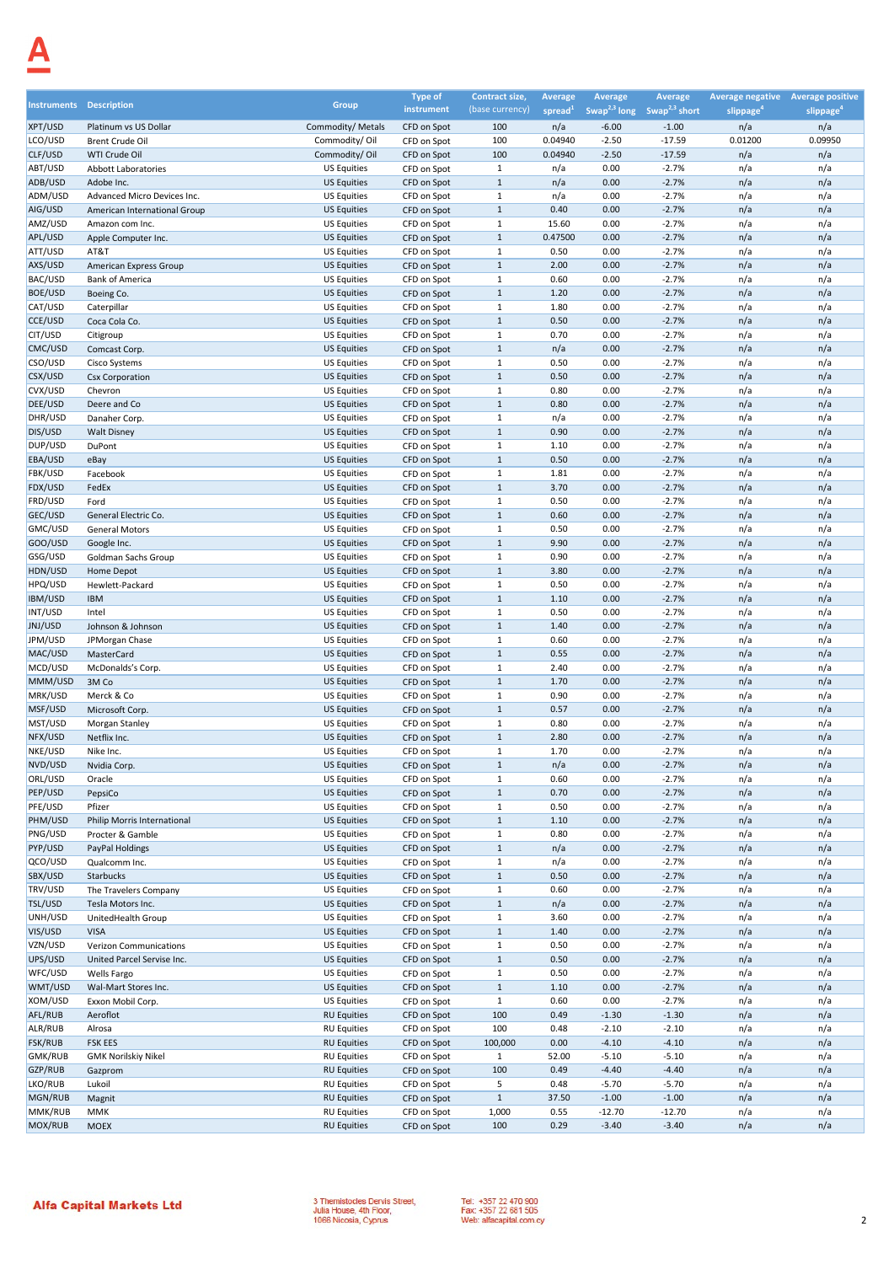| <b>Instruments Description</b> |                                                             | Group                                    | <b>Type of</b><br>instrument | Contract size,<br>(base currency) | <b>Average</b><br>spread $1$ | Average            | <b>Average</b><br>Swap <sup>2,3</sup> long Swap <sup>2,3</sup> short | Average negative Average positive<br>slippage <sup>4</sup> | slippage <sup>4</sup> |
|--------------------------------|-------------------------------------------------------------|------------------------------------------|------------------------------|-----------------------------------|------------------------------|--------------------|----------------------------------------------------------------------|------------------------------------------------------------|-----------------------|
| XPT/USD                        | Platinum vs US Dollar                                       | Commodity/ Metals                        | CFD on Spot                  | 100                               | n/a                          | $-6.00$            | $-1.00$                                                              | n/a                                                        | n/a                   |
| LCO/USD                        | Brent Crude Oil                                             | Commodity/Oil                            | CFD on Spot                  | 100                               | 0.04940                      | $-2.50$            | $-17.59$                                                             | 0.01200                                                    | 0.09950               |
| CLF/USD                        | WTI Crude Oil                                               | Commodity/Oil                            | CFD on Spot                  | 100                               | 0.04940                      | $-2.50$            | $-17.59$                                                             | n/a                                                        | n/a                   |
| ABT/USD                        | Abbott Laboratories                                         | <b>US Equities</b>                       | CFD on Spot                  | $\mathbf{1}$                      | n/a                          | 0.00               | $-2.7%$                                                              | n/a                                                        | n/a                   |
| ADB/USD                        | Adobe Inc.                                                  | <b>US Equities</b>                       | CFD on Spot                  | $\mathbf{1}$                      | n/a                          | 0.00               | $-2.7%$                                                              | n/a                                                        | n/a                   |
| ADM/USD<br>AIG/USD             | Advanced Micro Devices Inc.<br>American International Group | <b>US Equities</b><br><b>US Equities</b> | CFD on Spot<br>CFD on Spot   | $\mathbf{1}$<br>$\mathbf{1}$      | n/a<br>0.40                  | 0.00<br>0.00       | $-2.7%$<br>$-2.7%$                                                   | n/a<br>n/a                                                 | n/a<br>n/a            |
| AMZ/USD                        | Amazon com Inc.                                             | <b>US Equities</b>                       | CFD on Spot                  | $\mathbf{1}$                      | 15.60                        | 0.00               | $-2.7%$                                                              | n/a                                                        | n/a                   |
| APL/USD                        | Apple Computer Inc.                                         | <b>US Equities</b>                       | CFD on Spot                  | $\mathbf{1}$                      | 0.47500                      | 0.00               | $-2.7%$                                                              | n/a                                                        | n/a                   |
| ATT/USD                        | AT&T                                                        | <b>US Equities</b>                       | CFD on Spot                  | $\mathbf{1}$                      | 0.50                         | 0.00               | $-2.7%$                                                              | n/a                                                        | n/a                   |
| AXS/USD                        | American Express Group                                      | <b>US Equities</b>                       | CFD on Spot                  | $\mathbf{1}$                      | 2.00                         | 0.00               | $-2.7%$                                                              | n/a                                                        | n/a                   |
| BAC/USD                        | <b>Bank of America</b>                                      | <b>US Equities</b><br><b>US Equities</b> | CFD on Spot                  | $\mathbf{1}$<br>$1\,$             | 0.60<br>1.20                 | 0.00<br>0.00       | $-2.7%$<br>$-2.7%$                                                   | n/a                                                        | n/a                   |
| <b>BOE/USD</b><br>CAT/USD      | Boeing Co.<br>Caterpillar                                   | <b>US Equities</b>                       | CFD on Spot<br>CFD on Spot   | $\mathbf{1}$                      | 1.80                         | 0.00               | $-2.7%$                                                              | n/a<br>n/a                                                 | n/a<br>n/a            |
| CCE/USD                        | Coca Cola Co.                                               | <b>US Equities</b>                       | CFD on Spot                  | $\mathbf{1}$                      | 0.50                         | 0.00               | $-2.7%$                                                              | n/a                                                        | n/a                   |
| CIT/USD                        | Citigroup                                                   | <b>US Equities</b>                       | CFD on Spot                  | $\mathbf{1}$                      | 0.70                         | 0.00               | $-2.7%$                                                              | n/a                                                        | n/a                   |
| CMC/USD                        | Comcast Corp.                                               | <b>US Equities</b>                       | CFD on Spot                  | $\mathbf{1}$                      | n/a                          | 0.00               | $-2.7%$                                                              | n/a                                                        | n/a                   |
| CSO/USD                        | Cisco Systems                                               | <b>US Equities</b>                       | CFD on Spot                  | $1\,$                             | 0.50                         | 0.00               | $-2.7%$                                                              | n/a                                                        | n/a                   |
| CSX/USD<br>CVX/USD             | <b>Csx Corporation</b>                                      | <b>US Equities</b><br><b>US Equities</b> | CFD on Spot                  | $\mathbf{1}$<br>$\mathbf{1}$      | 0.50<br>0.80                 | 0.00<br>0.00       | $-2.7%$<br>$-2.7%$                                                   | n/a<br>n/a                                                 | n/a<br>n/a            |
| DEE/USD                        | Chevron<br>Deere and Co                                     | <b>US Equities</b>                       | CFD on Spot<br>CFD on Spot   | $\mathbf{1}$                      | 0.80                         | 0.00               | $-2.7%$                                                              | n/a                                                        | n/a                   |
| DHR/USD                        | Danaher Corp.                                               | <b>US Equities</b>                       | CFD on Spot                  | $\mathbf{1}$                      | n/a                          | 0.00               | $-2.7%$                                                              | n/a                                                        | n/a                   |
| DIS/USD                        | <b>Walt Disney</b>                                          | <b>US Equities</b>                       | CFD on Spot                  | $\mathbf{1}$                      | 0.90                         | 0.00               | $-2.7%$                                                              | n/a                                                        | n/a                   |
| DUP/USD                        | DuPont                                                      | <b>US Equities</b>                       | CFD on Spot                  | $\mathbf{1}$                      | 1.10                         | 0.00               | $-2.7%$                                                              | n/a                                                        | n/a                   |
| EBA/USD                        | eBay                                                        | <b>US Equities</b>                       | CFD on Spot                  | $\mathbf{1}$                      | 0.50                         | 0.00               | $-2.7%$                                                              | n/a                                                        | n/a                   |
| FBK/USD<br>FDX/USD             | Facebook                                                    | <b>US Equities</b>                       | CFD on Spot                  | $\mathbf{1}$<br>$\mathbf{1}$      | 1.81<br>3.70                 | 0.00               | $-2.7%$                                                              | n/a                                                        | n/a                   |
| FRD/USD                        | FedEx<br>Ford                                               | <b>US Equities</b><br><b>US Equities</b> | CFD on Spot<br>CFD on Spot   | $\mathbf{1}$                      | 0.50                         | 0.00<br>0.00       | $-2.7%$<br>$-2.7%$                                                   | n/a<br>n/a                                                 | n/a<br>n/a            |
| GEC/USD                        | General Electric Co.                                        | <b>US Equities</b>                       | CFD on Spot                  | $\mathbf{1}$                      | 0.60                         | 0.00               | $-2.7%$                                                              | n/a                                                        | n/a                   |
| GMC/USD                        | <b>General Motors</b>                                       | <b>US Equities</b>                       | CFD on Spot                  | $\mathbf{1}$                      | 0.50                         | 0.00               | $-2.7%$                                                              | n/a                                                        | n/a                   |
| GOO/USD                        | Google Inc.                                                 | <b>US Equities</b>                       | CFD on Spot                  | $\mathbf{1}$                      | 9.90                         | 0.00               | $-2.7%$                                                              | n/a                                                        | n/a                   |
| GSG/USD                        | Goldman Sachs Group                                         | <b>US Equities</b>                       | CFD on Spot                  | $1\,$                             | 0.90                         | 0.00               | $-2.7%$                                                              | n/a                                                        | n/a                   |
| HDN/USD<br>HPQ/USD             | Home Depot                                                  | <b>US Equities</b>                       | CFD on Spot                  | $\mathbf{1}$<br>$\mathbf{1}$      | 3.80<br>0.50                 | 0.00<br>0.00       | $-2.7%$<br>$-2.7%$                                                   | n/a<br>n/a                                                 | n/a<br>n/a            |
| <b>IBM/USD</b>                 | Hewlett-Packard<br><b>IBM</b>                               | <b>US Equities</b><br><b>US Equities</b> | CFD on Spot<br>CFD on Spot   | $\mathbf{1}$                      | 1.10                         | 0.00               | $-2.7%$                                                              | n/a                                                        | n/a                   |
| INT/USD                        | Intel                                                       | <b>US Equities</b>                       | CFD on Spot                  | $\mathbf{1}$                      | 0.50                         | 0.00               | $-2.7%$                                                              | n/a                                                        | n/a                   |
| JNJ/USD                        | Johnson & Johnson                                           | <b>US Equities</b>                       | CFD on Spot                  | $\mathbf{1}$                      | 1.40                         | 0.00               | $-2.7%$                                                              | n/a                                                        | n/a                   |
| JPM/USD                        | JPMorgan Chase                                              | <b>US Equities</b>                       | CFD on Spot                  | $1\,$                             | 0.60                         | 0.00               | $-2.7%$                                                              | n/a                                                        | n/a                   |
| MAC/USD                        | MasterCard                                                  | <b>US Equities</b>                       | CFD on Spot                  | $\mathbf{1}$                      | 0.55                         | 0.00               | $-2.7%$                                                              | n/a                                                        | n/a                   |
| MCD/USD<br>MMM/USD             | McDonalds's Corp.<br>3M Co                                  | <b>US Equities</b><br><b>US Equities</b> | CFD on Spot<br>CFD on Spot   | $\mathbf{1}$<br>$\mathbf{1}$      | 2.40<br>1.70                 | 0.00<br>0.00       | $-2.7%$<br>$-2.7%$                                                   | n/a<br>n/a                                                 | n/a<br>n/a            |
| MRK/USD                        | Merck & Co                                                  | <b>US Equities</b>                       | CFD on Spot                  | $\mathbf{1}$                      | 0.90                         | 0.00               | $-2.7%$                                                              | n/a                                                        | n/a                   |
| MSF/USD                        | Microsoft Corp.                                             | <b>US Equities</b>                       | CFD on Spot                  | $\mathbf{1}$                      | 0.57                         | 0.00               | $-2.7%$                                                              | n/a                                                        | n/a                   |
| MST/USD                        | Morgan Stanley                                              | <b>US Equities</b>                       | CFD on Spot                  | $1\,$                             | 0.80                         | 0.00               | $-2.7%$                                                              | n/a                                                        | n/a                   |
| NFX/USD                        | Netflix Inc.                                                | <b>US Equities</b>                       | CFD on Spot                  | $1\,$                             | 2.80                         | 0.00               | $-2.7%$                                                              | n/a                                                        | n/a                   |
| NKE/USD                        | Nike Inc.                                                   | <b>US Equities</b><br><b>US Equities</b> | CFD on Spot                  | $1\,$<br>$\mathbf{1}$             | 1.70<br>n/a                  | 0.00<br>0.00       | $-2.7%$<br>$-2.7%$                                                   | n/a<br>n/a                                                 | n/a<br>n/a            |
| NVD/USD<br>ORL/USD             | Nvidia Corp.<br>Oracle                                      | <b>US Equities</b>                       | CFD on Spot<br>CFD on Spot   | 1                                 | 0.60                         | 0.00               | $-2.7%$                                                              | n/a                                                        | n/a                   |
| PEP/USD                        | PepsiCo                                                     | <b>US Equities</b>                       | CFD on Spot                  | $\mathbf{1}$                      | 0.70                         | 0.00               | $-2.7%$                                                              | n/a                                                        | n/a                   |
| PFE/USD                        | Pfizer                                                      | <b>US Equities</b>                       | CFD on Spot                  | $\mathbf{1}$                      | 0.50                         | 0.00               | $-2.7%$                                                              | n/a                                                        | n/a                   |
| PHM/USD                        | Philip Morris International                                 | <b>US Equities</b>                       | CFD on Spot                  | $\mathbf{1}$                      | 1.10                         | 0.00               | $-2.7%$                                                              | n/a                                                        | n/a                   |
| PNG/USD                        | Procter & Gamble                                            | <b>US Equities</b>                       | CFD on Spot                  | $\mathbf{1}$                      | 0.80                         | 0.00               | $-2.7%$                                                              | n/a                                                        | n/a                   |
| PYP/USD<br>QCO/USD             | PayPal Holdings                                             | <b>US Equities</b><br><b>US Equities</b> | CFD on Spot                  | $\mathbf{1}$<br>$\mathbf{1}$      | n/a                          | 0.00<br>0.00       | $-2.7%$<br>$-2.7%$                                                   | n/a                                                        | n/a                   |
| SBX/USD                        | Qualcomm Inc.<br>Starbucks                                  | <b>US Equities</b>                       | CFD on Spot<br>CFD on Spot   | $\mathbf{1}$                      | n/a<br>0.50                  | 0.00               | $-2.7%$                                                              | n/a<br>n/a                                                 | n/a<br>n/a            |
| TRV/USD                        | The Travelers Company                                       | <b>US Equities</b>                       | CFD on Spot                  | $\mathbf{1}$                      | 0.60                         | 0.00               | $-2.7%$                                                              | n/a                                                        | n/a                   |
| TSL/USD                        | Tesla Motors Inc.                                           | <b>US Equities</b>                       | CFD on Spot                  | $\mathbf{1}$                      | n/a                          | 0.00               | $-2.7%$                                                              | n/a                                                        | n/a                   |
| UNH/USD                        | UnitedHealth Group                                          | <b>US Equities</b>                       | CFD on Spot                  | $\mathbf{1}$                      | 3.60                         | 0.00               | $-2.7%$                                                              | n/a                                                        | n/a                   |
| VIS/USD                        | <b>VISA</b>                                                 | <b>US Equities</b>                       | CFD on Spot                  | $\mathbf{1}$                      | 1.40                         | 0.00               | $-2.7%$                                                              | n/a                                                        | n/a                   |
| VZN/USD<br>UPS/USD             | Verizon Communications<br>United Parcel Servise Inc.        | <b>US Equities</b><br><b>US Equities</b> | CFD on Spot<br>CFD on Spot   | $\mathbf{1}$<br>$\mathbf{1}$      | 0.50<br>0.50                 | 0.00<br>0.00       | $-2.7%$<br>$-2.7%$                                                   | n/a<br>n/a                                                 | n/a<br>n/a            |
| WFC/USD                        | Wells Fargo                                                 | <b>US Equities</b>                       | CFD on Spot                  | $\mathbf{1}$                      | 0.50                         | 0.00               | $-2.7%$                                                              | n/a                                                        | n/a                   |
| WMT/USD                        | Wal-Mart Stores Inc.                                        | <b>US Equities</b>                       | CFD on Spot                  | $\mathbf{1}$                      | 1.10                         | 0.00               | $-2.7%$                                                              | n/a                                                        | n/a                   |
| XOM/USD                        | Exxon Mobil Corp.                                           | <b>US Equities</b>                       | CFD on Spot                  | $\mathbf{1}$                      | 0.60                         | 0.00               | $-2.7%$                                                              | n/a                                                        | n/a                   |
| AFL/RUB                        | Aeroflot                                                    | <b>RU Equities</b>                       | CFD on Spot                  | 100                               | 0.49                         | $-1.30$            | $-1.30$                                                              | n/a                                                        | n/a                   |
| ALR/RUB                        | Alrosa                                                      | <b>RU Equities</b>                       | CFD on Spot                  | 100                               | 0.48                         | $-2.10$            | $-2.10$                                                              | n/a                                                        | n/a                   |
| <b>FSK/RUB</b><br>GMK/RUB      | <b>FSK EES</b><br><b>GMK Norilskiy Nikel</b>                | <b>RU Equities</b><br><b>RU Equities</b> | CFD on Spot<br>CFD on Spot   | 100,000<br>$\mathbf{1}$           | 0.00<br>52.00                | $-4.10$<br>$-5.10$ | $-4.10$<br>$-5.10$                                                   | n/a<br>n/a                                                 | n/a<br>n/a            |
| GZP/RUB                        | Gazprom                                                     | <b>RU Equities</b>                       | CFD on Spot                  | 100                               | 0.49                         | $-4.40$            | $-4.40$                                                              | n/a                                                        | n/a                   |
| LKO/RUB                        | Lukoil                                                      | <b>RU Equities</b>                       | CFD on Spot                  | 5                                 | 0.48                         | $-5.70$            | $-5.70$                                                              | n/a                                                        | n/a                   |
| MGN/RUB                        | Magnit                                                      | <b>RU Equities</b>                       | CFD on Spot                  | $\mathbf{1}$                      | 37.50                        | $-1.00$            | $-1.00$                                                              | n/a                                                        | n/a                   |
| MMK/RUB                        | <b>MMK</b>                                                  | <b>RU Equities</b>                       | CFD on Spot                  | 1,000                             | 0.55                         | $-12.70$           | $-12.70$                                                             | n/a                                                        | n/a                   |
| MOX/RUB                        | <b>MOEX</b>                                                 | <b>RU Equities</b>                       | CFD on Spot                  | 100                               | 0.29                         | $-3.40$            | $-3.40$                                                              | n/a                                                        | n/a                   |

3 Themistocles Dervis Street,<br>Julia House, 4th Floor,<br>1066 Nicosia, Cyprus

Tel: +357 22 470 900<br>Fax: +357 22 681 505<br>Web: alfacapital.com.cy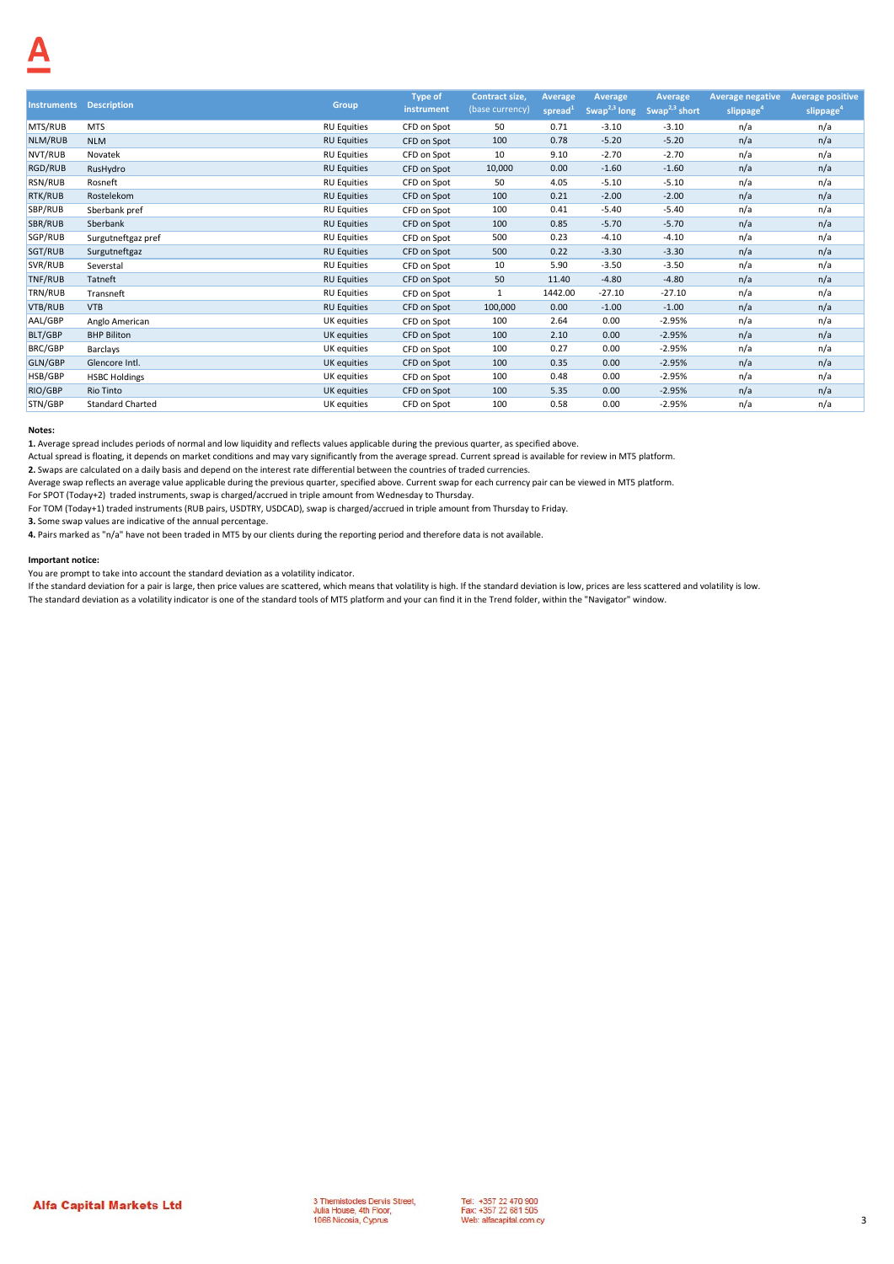|                    |                         |                    | <b>Type of</b> | Contract size,  | Average             | Average                  | Average                   | <b>Average negative</b> | <b>Average positive</b> |
|--------------------|-------------------------|--------------------|----------------|-----------------|---------------------|--------------------------|---------------------------|-------------------------|-------------------------|
| <b>Instruments</b> | <b>Description</b>      | Group              | instrument     | (base currency) | spread <sup>1</sup> | Swap <sup>2,3</sup> long | Swap <sup>2,3</sup> short | slippage <sup>4</sup>   | slippage <sup>4</sup>   |
| MTS/RUB            | <b>MTS</b>              | <b>RU Equities</b> | CFD on Spot    | 50              | 0.71                | $-3.10$                  | $-3.10$                   | n/a                     | n/a                     |
| NLM/RUB            | <b>NLM</b>              | <b>RU Equities</b> | CFD on Spot    | 100             | 0.78                | $-5.20$                  | $-5.20$                   | n/a                     | n/a                     |
| NVT/RUB            | Novatek                 | <b>RU Equities</b> | CFD on Spot    | 10              | 9.10                | $-2.70$                  | $-2.70$                   | n/a                     | n/a                     |
| RGD/RUB            | RusHydro                | <b>RU Equities</b> | CFD on Spot    | 10,000          | 0.00                | $-1.60$                  | $-1.60$                   | n/a                     | n/a                     |
| RSN/RUB            | Rosneft                 | <b>RU Equities</b> | CFD on Spot    | 50              | 4.05                | $-5.10$                  | $-5.10$                   | n/a                     | n/a                     |
| RTK/RUB            | Rostelekom              | <b>RU Equities</b> | CFD on Spot    | 100             | 0.21                | $-2.00$                  | $-2.00$                   | n/a                     | n/a                     |
| SBP/RUB            | Sberbank pref           | <b>RU Equities</b> | CFD on Spot    | 100             | 0.41                | $-5.40$                  | $-5.40$                   | n/a                     | n/a                     |
| SBR/RUB            | Sberbank                | <b>RU Equities</b> | CFD on Spot    | 100             | 0.85                | $-5.70$                  | $-5.70$                   | n/a                     | n/a                     |
| SGP/RUB            | Surgutneftgaz pref      | <b>RU Equities</b> | CFD on Spot    | 500             | 0.23                | $-4.10$                  | $-4.10$                   | n/a                     | n/a                     |
| SGT/RUB            | Surgutneftgaz           | <b>RU Equities</b> | CFD on Spot    | 500             | 0.22                | $-3.30$                  | $-3.30$                   | n/a                     | n/a                     |
| SVR/RUB            | Severstal               | <b>RU Equities</b> | CFD on Spot    | 10              | 5.90                | $-3.50$                  | $-3.50$                   | n/a                     | n/a                     |
| TNF/RUB            | Tatneft                 | <b>RU Equities</b> | CFD on Spot    | 50              | 11.40               | $-4.80$                  | $-4.80$                   | n/a                     | n/a                     |
| TRN/RUB            | Transneft               | <b>RU Equities</b> | CFD on Spot    | $\mathbf{1}$    | 1442.00             | $-27.10$                 | $-27.10$                  | n/a                     | n/a                     |
| VTB/RUB            | <b>VTB</b>              | <b>RU Equities</b> | CFD on Spot    | 100,000         | 0.00                | $-1.00$                  | $-1.00$                   | n/a                     | n/a                     |
| AAL/GBP            | Anglo American          | UK equities        | CFD on Spot    | 100             | 2.64                | 0.00                     | $-2.95%$                  | n/a                     | n/a                     |
| <b>BLT/GBP</b>     | <b>BHP Biliton</b>      | UK equities        | CFD on Spot    | 100             | 2.10                | 0.00                     | $-2.95%$                  | n/a                     | n/a                     |
| BRC/GBP            | Barclays                | UK equities        | CFD on Spot    | 100             | 0.27                | 0.00                     | $-2.95%$                  | n/a                     | n/a                     |
| GLN/GBP            | Glencore Intl.          | UK equities        | CFD on Spot    | 100             | 0.35                | 0.00                     | $-2.95%$                  | n/a                     | n/a                     |
| HSB/GBP            | <b>HSBC Holdings</b>    | UK equities        | CFD on Spot    | 100             | 0.48                | 0.00                     | $-2.95%$                  | n/a                     | n/a                     |
| <b>RIO/GBP</b>     | Rio Tinto               | UK equities        | CFD on Spot    | 100             | 5.35                | 0.00                     | $-2.95%$                  | n/a                     | n/a                     |
| STN/GBP            | <b>Standard Charted</b> | UK equities        | CFD on Spot    | 100             | 0.58                | 0.00                     | $-2.95%$                  | n/a                     | n/a                     |

**1.** Average spread includes periods of normal and low liquidity and reflects values applicable during the previous quarter, as specified above.

Actual spread is floating, it depends on market conditions and may vary significantly from the average spread. Current spread is available for review in MT5 platform.

**2.** Swaps are calculated on a daily basis and depend on the interest rate differential between the countries of traded currencies.

Average swap reflects an average value applicable during the previous quarter, specified above. Current swap for each currency pair can be viewed in MT5 platform.

For SPOT (Today+2) traded instruments, swap is charged/accrued in triple amount from Wednesday to Thursday.

For TOM (Today+1) traded instruments (RUB pairs, USDTRY, USDCAD), swap is charged/accrued in triple amount from Thursday to Friday.

**3.** Some swap values are indicative of the annual percentage.

**4.** Pairs marked as "n/a" have not been traded in MT5 by our clients during the reporting period and therefore data is not available.

### **Important notice:**

You are prompt to take into account the standard deviation as a volatility indicator.

If the standard deviation for a pair is large, then price values are scattered, which means that volatility is high. If the standard deviation is low, prices are less scattered and volatility is low. The standard deviation as a volatility indicator is one of the standard tools of MT5 platform and your can find it in the Trend folder, within the "Navigator" window.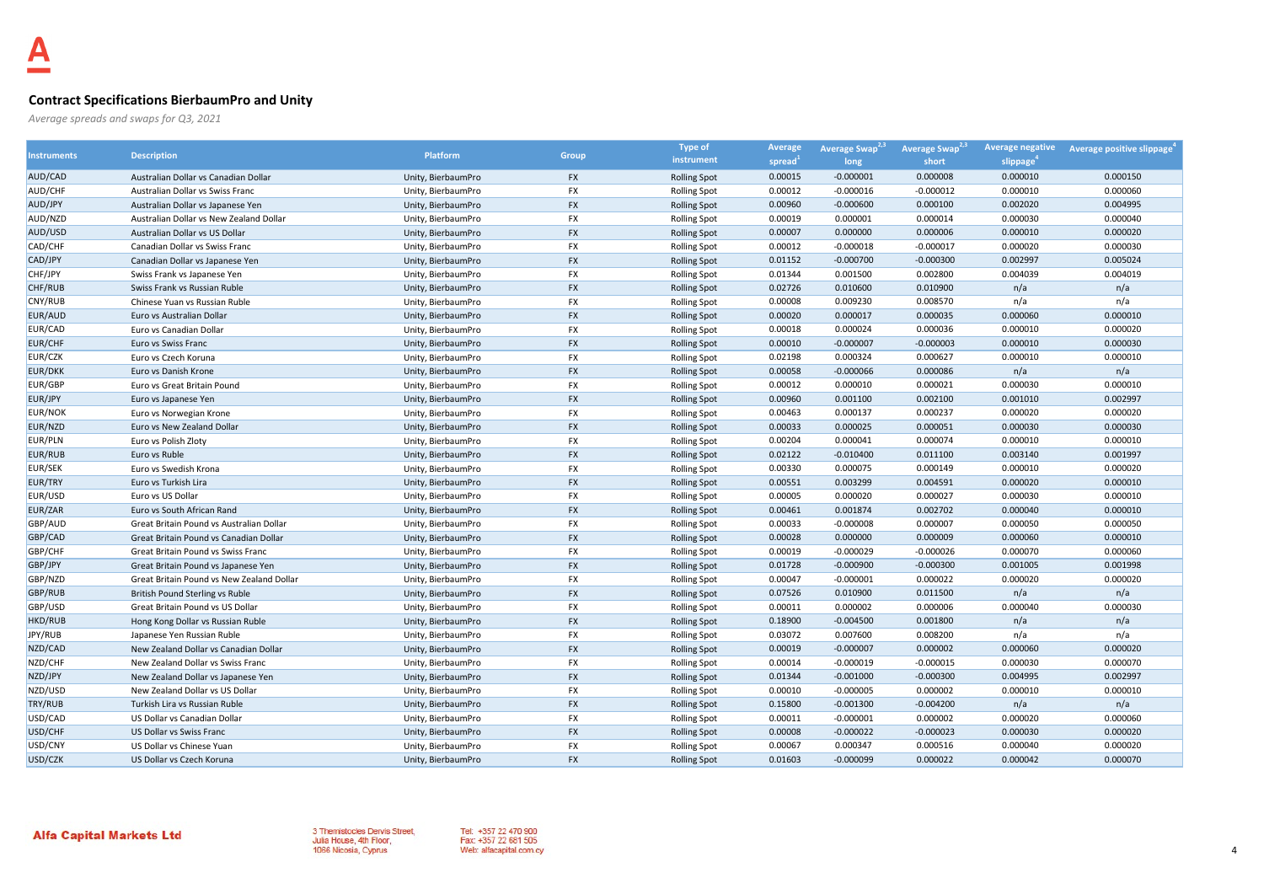## **Contract Specifications BierbaumPro and Unity**

*Average spreads and swaps for Q3, 2021*

| <b>Instruments</b> | <b>Description</b>                        |                    |              | <b>Type of</b>      | Average | Average Swap <sup>4</sup> | <b>Average Swap</b> | <b>Average negative</b> | Average positive slippage |
|--------------------|-------------------------------------------|--------------------|--------------|---------------------|---------|---------------------------|---------------------|-------------------------|---------------------------|
|                    |                                           | <b>Platform</b>    | <b>Group</b> | instrument          | spread  | long                      | short               | slippage <sup>®</sup>   |                           |
| AUD/CAD            | Australian Dollar vs Canadian Dollar      | Unity, BierbaumPro | <b>FX</b>    | <b>Rolling Spot</b> | 0.00015 | $-0.000001$               | 0.000008            | 0.000010                | 0.000150                  |
| AUD/CHF            | Australian Dollar vs Swiss Franc          | Unity, BierbaumPro | FX           | <b>Rolling Spot</b> | 0.00012 | $-0.000016$               | $-0.000012$         | 0.000010                | 0.000060                  |
| AUD/JPY            | Australian Dollar vs Japanese Yen         | Unity, BierbaumPro | <b>FX</b>    | <b>Rolling Spot</b> | 0.00960 | $-0.000600$               | 0.000100            | 0.002020                | 0.004995                  |
| AUD/NZD            | Australian Dollar vs New Zealand Dollar   | Unity, BierbaumPro | <b>FX</b>    | <b>Rolling Spot</b> | 0.00019 | 0.000001                  | 0.000014            | 0.000030                | 0.000040                  |
| AUD/USD            | Australian Dollar vs US Dollar            | Unity, BierbaumPro | <b>FX</b>    | <b>Rolling Spot</b> | 0.00007 | 0.000000                  | 0.000006            | 0.000010                | 0.000020                  |
| CAD/CHF            | Canadian Dollar vs Swiss Franc            | Unity, BierbaumPro | <b>FX</b>    | <b>Rolling Spot</b> | 0.00012 | $-0.000018$               | $-0.000017$         | 0.000020                | 0.000030                  |
| CAD/JPY            | Canadian Dollar vs Japanese Yen           | Unity, BierbaumPro | <b>FX</b>    | <b>Rolling Spot</b> | 0.01152 | $-0.000700$               | $-0.000300$         | 0.002997                | 0.005024                  |
| CHF/JPY            | Swiss Frank vs Japanese Yen               | Unity, BierbaumPro | FX           | <b>Rolling Spot</b> | 0.01344 | 0.001500                  | 0.002800            | 0.004039                | 0.004019                  |
| CHF/RUB            | Swiss Frank vs Russian Ruble              | Unity, BierbaumPro | <b>FX</b>    | <b>Rolling Spot</b> | 0.02726 | 0.010600                  | 0.010900            | n/a                     | n/a                       |
| CNY/RUB            | Chinese Yuan vs Russian Ruble             | Unity, BierbaumPro | <b>FX</b>    | <b>Rolling Spot</b> | 0.00008 | 0.009230                  | 0.008570            | n/a                     | n/a                       |
| EUR/AUD            | Euro vs Australian Dollar                 | Unity, BierbaumPro | <b>FX</b>    | <b>Rolling Spot</b> | 0.00020 | 0.000017                  | 0.000035            | 0.000060                | 0.000010                  |
| EUR/CAD            | Euro vs Canadian Dollar                   | Unity, BierbaumPro | <b>FX</b>    | <b>Rolling Spot</b> | 0.00018 | 0.000024                  | 0.000036            | 0.000010                | 0.000020                  |
| <b>EUR/CHF</b>     | Euro vs Swiss Franc                       | Unity, BierbaumPro | <b>FX</b>    | <b>Rolling Spot</b> | 0.00010 | $-0.000007$               | $-0.000003$         | 0.000010                | 0.000030                  |
| <b>EUR/CZK</b>     | Euro vs Czech Koruna                      | Unity, BierbaumPro | <b>FX</b>    | <b>Rolling Spot</b> | 0.02198 | 0.000324                  | 0.000627            | 0.000010                | 0.000010                  |
| <b>EUR/DKK</b>     | Euro vs Danish Krone                      | Unity, BierbaumPro | <b>FX</b>    | <b>Rolling Spot</b> | 0.00058 | $-0.000066$               | 0.000086            | n/a                     | n/a                       |
| EUR/GBP            | Euro vs Great Britain Pound               | Unity, BierbaumPro | <b>FX</b>    | <b>Rolling Spot</b> | 0.00012 | 0.000010                  | 0.000021            | 0.000030                | 0.000010                  |
| EUR/JPY            | Euro vs Japanese Yen                      | Unity, BierbaumPro | <b>FX</b>    | <b>Rolling Spot</b> | 0.00960 | 0.001100                  | 0.002100            | 0.001010                | 0.002997                  |
| <b>EUR/NOK</b>     | Euro vs Norwegian Krone                   | Unity, BierbaumPro | FX           | <b>Rolling Spot</b> | 0.00463 | 0.000137                  | 0.000237            | 0.000020                | 0.000020                  |
| EUR/NZD            | Euro vs New Zealand Dollar                | Unity, BierbaumPro | <b>FX</b>    | <b>Rolling Spot</b> | 0.00033 | 0.000025                  | 0.000051            | 0.000030                | 0.000030                  |
| <b>EUR/PLN</b>     | Euro vs Polish Zloty                      | Unity, BierbaumPro | FX           | <b>Rolling Spot</b> | 0.00204 | 0.000041                  | 0.000074            | 0.000010                | 0.000010                  |
| <b>EUR/RUB</b>     | Euro vs Ruble                             | Unity, BierbaumPro | <b>FX</b>    | <b>Rolling Spot</b> | 0.02122 | $-0.010400$               | 0.011100            | 0.003140                | 0.001997                  |
| EUR/SEK            | Euro vs Swedish Krona                     | Unity, BierbaumPro | <b>FX</b>    | <b>Rolling Spot</b> | 0.00330 | 0.000075                  | 0.000149            | 0.000010                | 0.000020                  |
| <b>EUR/TRY</b>     | Euro vs Turkish Lira                      | Unity, BierbaumPro | <b>FX</b>    | <b>Rolling Spot</b> | 0.00551 | 0.003299                  | 0.004591            | 0.000020                | 0.000010                  |
| EUR/USD            | Euro vs US Dollar                         | Unity, BierbaumPro | FX           | <b>Rolling Spot</b> | 0.00005 | 0.000020                  | 0.000027            | 0.000030                | 0.000010                  |
| EUR/ZAR            | Euro vs South African Rand                | Unity, BierbaumPro | <b>FX</b>    | <b>Rolling Spot</b> | 0.00461 | 0.001874                  | 0.002702            | 0.000040                | 0.000010                  |
| GBP/AUD            | Great Britain Pound vs Australian Dollar  | Unity, BierbaumPro | FX           | <b>Rolling Spot</b> | 0.00033 | $-0.000008$               | 0.000007            | 0.000050                | 0.000050                  |
| GBP/CAD            | Great Britain Pound vs Canadian Dollar    | Unity, BierbaumPro | <b>FX</b>    | <b>Rolling Spot</b> | 0.00028 | 0.000000                  | 0.000009            | 0.000060                | 0.000010                  |
| GBP/CHF            | Great Britain Pound vs Swiss Franc        | Unity, BierbaumPro | <b>FX</b>    | <b>Rolling Spot</b> | 0.00019 | $-0.000029$               | $-0.000026$         | 0.000070                | 0.000060                  |
| GBP/JPY            | Great Britain Pound vs Japanese Yen       | Unity, BierbaumPro | <b>FX</b>    | <b>Rolling Spot</b> | 0.01728 | $-0.000900$               | $-0.000300$         | 0.001005                | 0.001998                  |
| GBP/NZD            | Great Britain Pound vs New Zealand Dollar | Unity, BierbaumPro | <b>FX</b>    | <b>Rolling Spot</b> | 0.00047 | $-0.000001$               | 0.000022            | 0.000020                | 0.000020                  |
| GBP/RUB            | British Pound Sterling vs Ruble           | Unity, BierbaumPro | <b>FX</b>    | <b>Rolling Spot</b> | 0.07526 | 0.010900                  | 0.011500            | n/a                     | n/a                       |
| GBP/USD            | Great Britain Pound vs US Dollar          | Unity, BierbaumPro | <b>FX</b>    | <b>Rolling Spot</b> | 0.00011 | 0.000002                  | 0.000006            | 0.000040                | 0.000030                  |
| HKD/RUB            | Hong Kong Dollar vs Russian Ruble         | Unity, BierbaumPro | <b>FX</b>    | <b>Rolling Spot</b> | 0.18900 | $-0.004500$               | 0.001800            | n/a                     | n/a                       |
| JPY/RUB            | Japanese Yen Russian Ruble                | Unity, BierbaumPro | <b>FX</b>    | <b>Rolling Spot</b> | 0.03072 | 0.007600                  | 0.008200            | n/a                     | n/a                       |
| NZD/CAD            | New Zealand Dollar vs Canadian Dollar     | Unity, BierbaumPro | <b>FX</b>    | <b>Rolling Spot</b> | 0.00019 | $-0.000007$               | 0.000002            | 0.000060                | 0.000020                  |
| NZD/CHF            | New Zealand Dollar vs Swiss Franc         | Unity, BierbaumPro | FX           | <b>Rolling Spot</b> | 0.00014 | $-0.000019$               | $-0.000015$         | 0.000030                | 0.000070                  |
| NZD/JPY            | New Zealand Dollar vs Japanese Yen        | Unity, BierbaumPro | <b>FX</b>    | <b>Rolling Spot</b> | 0.01344 | $-0.001000$               | $-0.000300$         | 0.004995                | 0.002997                  |
| NZD/USD            | New Zealand Dollar vs US Dollar           | Unity, BierbaumPro | <b>FX</b>    | <b>Rolling Spot</b> | 0.00010 | $-0.000005$               | 0.000002            | 0.000010                | 0.000010                  |
| TRY/RUB            | Turkish Lira vs Russian Ruble             | Unity, BierbaumPro | <b>FX</b>    | <b>Rolling Spot</b> | 0.15800 | $-0.001300$               | $-0.004200$         | n/a                     | n/a                       |
| USD/CAD            | US Dollar vs Canadian Dollar              | Unity, BierbaumPro | <b>FX</b>    | <b>Rolling Spot</b> | 0.00011 | $-0.000001$               | 0.000002            | 0.000020                | 0.000060                  |
| USD/CHF            | US Dollar vs Swiss Franc                  | Unity, BierbaumPro | <b>FX</b>    | <b>Rolling Spot</b> | 0.00008 | $-0.000022$               | $-0.000023$         | 0.000030                | 0.000020                  |
| USD/CNY            | US Dollar vs Chinese Yuan                 | Unity, BierbaumPro | FX           | <b>Rolling Spot</b> | 0.00067 | 0.000347                  | 0.000516            | 0.000040                | 0.000020                  |
| USD/CZK            | US Dollar vs Czech Koruna                 | Unity, BierbaumPro | <b>FX</b>    | <b>Rolling Spot</b> | 0.01603 | $-0.000099$               | 0.000022            | 0.000042                | 0.000070                  |

3 Themistocles Dervis Street,<br>Julia House, 4th Floor,<br>1066 Nicosia, Cyprus

Tel: +357 22 470 900<br>Fax: +357 22 681 505 Web: alfacapital.com.cy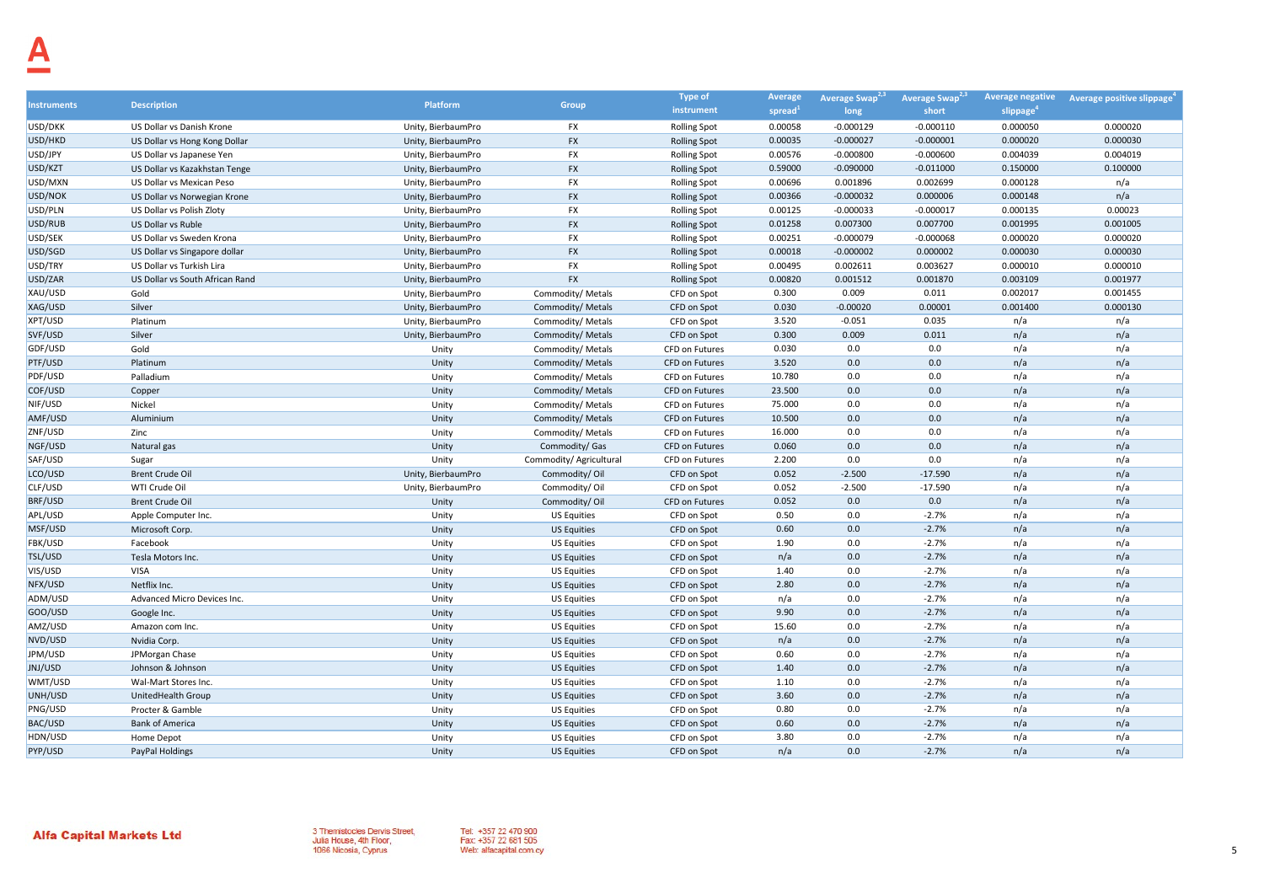|                   |                                 |                    |                         | <b>Type of</b>        | Average             | Average Swap <sup>2,3</sup> | Average Swap <sup>2,3</sup> | <b>Average negative</b> | Average positive slippage |
|-------------------|---------------------------------|--------------------|-------------------------|-----------------------|---------------------|-----------------------------|-----------------------------|-------------------------|---------------------------|
| <b>nstruments</b> | <b>Description</b>              | Platform           | Group                   | instrument            | spread <sup>1</sup> | long                        | short                       | slippage                |                           |
| USD/DKK           | US Dollar vs Danish Krone       | Unity, BierbaumPro | <b>FX</b>               | <b>Rolling Spot</b>   | 0.00058             | $-0.000129$                 | $-0.000110$                 | 0.000050                | 0.000020                  |
| USD/HKD           | US Dollar vs Hong Kong Dollar   | Unity, BierbaumPro | <b>FX</b>               | <b>Rolling Spot</b>   | 0.00035             | $-0.000027$                 | $-0.000001$                 | 0.000020                | 0.000030                  |
| USD/JPY           | US Dollar vs Japanese Yen       | Unity, BierbaumPro | FX                      | <b>Rolling Spot</b>   | 0.00576             | $-0.000800$                 | $-0.000600$                 | 0.004039                | 0.004019                  |
| USD/KZT           | US Dollar vs Kazakhstan Tenge   | Unity, BierbaumPro | <b>FX</b>               | <b>Rolling Spot</b>   | 0.59000             | $-0.090000$                 | $-0.011000$                 | 0.150000                | 0.100000                  |
| USD/MXN           | US Dollar vs Mexican Peso       | Unity, BierbaumPro | FX                      | <b>Rolling Spot</b>   | 0.00696             | 0.001896                    | 0.002699                    | 0.000128                | n/a                       |
| USD/NOK           | US Dollar vs Norwegian Krone    | Unity, BierbaumPro | <b>FX</b>               | <b>Rolling Spot</b>   | 0.00366             | $-0.000032$                 | 0.000006                    | 0.000148                | n/a                       |
| USD/PLN           | US Dollar vs Polish Zloty       | Unity, BierbaumPro | <b>FX</b>               | <b>Rolling Spot</b>   | 0.00125             | $-0.000033$                 | $-0.000017$                 | 0.000135                | 0.00023                   |
| USD/RUB           | US Dollar vs Ruble              | Unity, BierbaumPro | <b>FX</b>               | <b>Rolling Spot</b>   | 0.01258             | 0.007300                    | 0.007700                    | 0.001995                | 0.001005                  |
| USD/SEK           | US Dollar vs Sweden Krona       | Unity, BierbaumPro | <b>FX</b>               | <b>Rolling Spot</b>   | 0.00251             | $-0.000079$                 | $-0.000068$                 | 0.000020                | 0.000020                  |
| USD/SGD           | US Dollar vs Singapore dollar   | Unity, BierbaumPro | <b>FX</b>               | <b>Rolling Spot</b>   | 0.00018             | $-0.000002$                 | 0.000002                    | 0.000030                | 0.000030                  |
| USD/TRY           | US Dollar vs Turkish Lira       | Unity, BierbaumPro | FX                      | <b>Rolling Spot</b>   | 0.00495             | 0.002611                    | 0.003627                    | 0.000010                | 0.000010                  |
| USD/ZAR           | US Dollar vs South African Rand | Unity, BierbaumPro | <b>FX</b>               | <b>Rolling Spot</b>   | 0.00820             | 0.001512                    | 0.001870                    | 0.003109                | 0.001977                  |
| XAU/USD           | Gold                            | Unity, BierbaumPro | Commodity/ Metals       | CFD on Spot           | 0.300               | 0.009                       | 0.011                       | 0.002017                | 0.001455                  |
| XAG/USD           | Silver                          | Unity, BierbaumPro | Commodity/ Metals       | CFD on Spot           | 0.030               | $-0.00020$                  | 0.00001                     | 0.001400                | 0.000130                  |
| XPT/USD           | Platinum                        | Unity, BierbaumPro | Commodity/ Metals       | CFD on Spot           | 3.520               | $-0.051$                    | 0.035                       | n/a                     | n/a                       |
| SVF/USD           | Silver                          | Unity, BierbaumPro | Commodity/ Metals       | CFD on Spot           | 0.300               | 0.009                       | 0.011                       | n/a                     | n/a                       |
| GDF/USD           | Gold                            | Unity              | Commodity/ Metals       | CFD on Futures        | 0.030               | 0.0                         | 0.0                         | n/a                     | n/a                       |
| PTF/USD           | Platinum                        | Unity              | Commodity/ Metals       | CFD on Futures        | 3.520               | 0.0                         | 0.0                         | n/a                     | n/a                       |
| PDF/USD           | Palladium                       | Unity              | Commodity/ Metals       | CFD on Futures        | 10.780              | 0.0                         | 0.0                         | n/a                     | n/a                       |
| COF/USD           | Copper                          | Unity              | Commodity/ Metals       | CFD on Futures        | 23.500              | 0.0                         | 0.0                         | n/a                     | n/a                       |
| NIF/USD           | Nickel                          | Unity              | Commodity/ Metals       | CFD on Futures        | 75.000              | 0.0                         | 0.0                         | n/a                     | n/a                       |
| AMF/USD           | Aluminium                       | Unity              | Commodity/ Metals       | <b>CFD on Futures</b> | 10.500              | 0.0                         | 0.0                         | n/a                     | n/a                       |
| ZNF/USD           | Zinc                            | Unity              | Commodity/ Metals       | CFD on Futures        | 16.000              | 0.0                         | 0.0                         | n/a                     | n/a                       |
| NGF/USD           | Natural gas                     | Unity              | Commodity/ Gas          | CFD on Futures        | 0.060               | 0.0                         | 0.0                         | n/a                     | n/a                       |
| SAF/USD           | Sugar                           | Unity              | Commodity/ Agricultural | CFD on Futures        | 2.200               | 0.0                         | 0.0                         | n/a                     | n/a                       |
| LCO/USD           | <b>Brent Crude Oil</b>          | Unity, BierbaumPro | Commodity/Oil           | CFD on Spot           | 0.052               | $-2.500$                    | $-17.590$                   | n/a                     | n/a                       |
| CLF/USD           | WTI Crude Oil                   | Unity, BierbaumPro | Commodity/Oil           | CFD on Spot           | 0.052               | $-2.500$                    | $-17.590$                   | n/a                     | n/a                       |
| <b>BRF/USD</b>    | <b>Brent Crude Oil</b>          | Unity              | Commodity/Oil           | <b>CFD on Futures</b> | 0.052               | 0.0                         | 0.0                         | n/a                     | n/a                       |
| APL/USD           | Apple Computer Inc.             | Unity              | <b>US Equities</b>      | CFD on Spot           | 0.50                | 0.0                         | $-2.7%$                     | n/a                     | n/a                       |
| MSF/USD           | Microsoft Corp.                 | Unity              | <b>US Equities</b>      | CFD on Spot           | 0.60                | 0.0                         | $-2.7%$                     | n/a                     | n/a                       |
| FBK/USD           | Facebook                        | Unity              | <b>US Equities</b>      | CFD on Spot           | 1.90                | 0.0                         | $-2.7%$                     | n/a                     | n/a                       |
| TSL/USD           | Tesla Motors Inc.               | Unity              | <b>US Equities</b>      | CFD on Spot           | n/a                 | 0.0                         | $-2.7%$                     | n/a                     | n/a                       |
| VIS/USD           | <b>VISA</b>                     | Unity              | <b>US Equities</b>      | CFD on Spot           | 1.40                | 0.0                         | $-2.7%$                     | n/a                     | n/a                       |
| NFX/USD           | Netflix Inc.                    | Unity              | <b>US Equities</b>      | CFD on Spot           | 2.80                | 0.0                         | $-2.7%$                     | n/a                     | n/a                       |
| ADM/USD           | Advanced Micro Devices Inc.     | Unity              | <b>US Equities</b>      | CFD on Spot           | n/a                 | 0.0                         | $-2.7%$                     | n/a                     | n/a                       |
| GOO/USD           | Google Inc.                     | Unity              | <b>US Equities</b>      | CFD on Spot           | 9.90                | 0.0                         | $-2.7%$                     | n/a                     | n/a                       |
| AMZ/USD           | Amazon com Inc.                 | Unity              | <b>US Equities</b>      | CFD on Spot           | 15.60               | 0.0                         | $-2.7%$                     | n/a                     | n/a                       |
| NVD/USD           | Nvidia Corp.                    | Unity              | <b>US Equities</b>      | CFD on Spot           | n/a                 | 0.0                         | $-2.7%$                     | n/a                     | n/a                       |
| JPM/USD           | JPMorgan Chase                  | Unity              | <b>US Equities</b>      | CFD on Spot           | 0.60                | 0.0                         | $-2.7%$                     | n/a                     | n/a                       |
| JNJ/USD           | Johnson & Johnson               | Unity              | <b>US Equities</b>      | CFD on Spot           | 1.40                | 0.0                         | $-2.7%$                     | n/a                     | n/a                       |
| WMT/USD           | Wal-Mart Stores Inc.            | Unity              | <b>US Equities</b>      | CFD on Spot           | 1.10                | 0.0                         | $-2.7%$                     | n/a                     | n/a                       |
| UNH/USD           | UnitedHealth Group              | Unity              | <b>US Equities</b>      | CFD on Spot           | 3.60                | 0.0                         | $-2.7%$                     | n/a                     | n/a                       |
| PNG/USD           | Procter & Gamble                | Unity              | <b>US Equities</b>      | CFD on Spot           | 0.80                | 0.0                         | $-2.7%$                     | n/a                     | n/a                       |
| BAC/USD           | <b>Bank of America</b>          | Unity              | <b>US Equities</b>      | CFD on Spot           | 0.60                | 0.0                         | $-2.7%$                     | n/a                     | n/a                       |
| HDN/USD           | Home Depot                      | Unity              | <b>US Equities</b>      | CFD on Spot           | 3.80                | 0.0                         | $-2.7%$                     | n/a                     | n/a                       |
| PYP/USD           | PayPal Holdings                 | Unity              | <b>US Equities</b>      | CFD on Spot           | n/a                 | 0.0                         | $-2.7%$                     | n/a                     | n/a                       |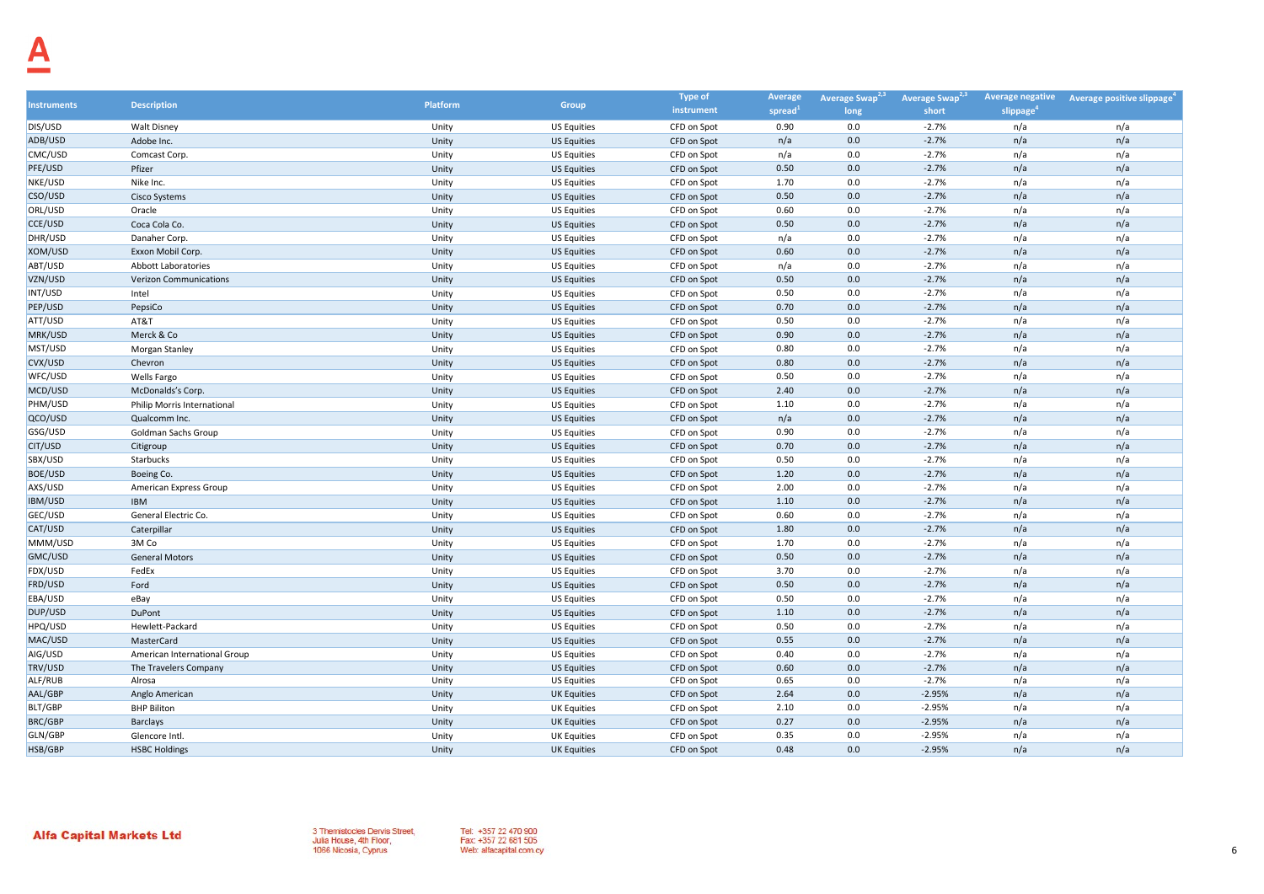|                    |                               |                 |                    | <b>Type of</b> | Average | Average Swap <sup>2,3</sup> | Average Swap <sup>2,3</sup> | <b>Average negative</b> | Average positive slippage |
|--------------------|-------------------------------|-----------------|--------------------|----------------|---------|-----------------------------|-----------------------------|-------------------------|---------------------------|
| <b>Instruments</b> | <b>Description</b>            | <b>Platform</b> | Group              | instrument     | spread  | long                        | short                       | slippage                |                           |
| DIS/USD            | <b>Walt Disney</b>            | Unity           | <b>US Equities</b> | CFD on Spot    | 0.90    | 0.0                         | $-2.7%$                     | n/a                     | n/a                       |
| ADB/USD            | Adobe Inc.                    | Unity           | <b>US Equities</b> | CFD on Spot    | n/a     | 0.0                         | $-2.7%$                     | n/a                     | n/a                       |
| CMC/USD            | Comcast Corp.                 | Unity           | <b>US Equities</b> | CFD on Spot    | n/a     | 0.0                         | $-2.7%$                     | n/a                     | n/a                       |
| PFE/USD            | Pfizer                        | Unity           | <b>US Equities</b> | CFD on Spot    | 0.50    | 0.0                         | $-2.7%$                     | n/a                     | n/a                       |
| NKE/USD            | Nike Inc.                     | Unity           | <b>US Equities</b> | CFD on Spot    | 1.70    | 0.0                         | $-2.7%$                     | n/a                     | n/a                       |
| CSO/USD            | <b>Cisco Systems</b>          | Unity           | <b>US Equities</b> | CFD on Spot    | 0.50    | 0.0                         | $-2.7%$                     | n/a                     | n/a                       |
| ORL/USD            | Oracle                        | Unity           | <b>US Equities</b> | CFD on Spot    | 0.60    | 0.0                         | $-2.7%$                     | n/a                     | n/a                       |
| CCE/USD            | Coca Cola Co.                 | Unity           | <b>US Equities</b> | CFD on Spot    | 0.50    | 0.0                         | $-2.7%$                     | n/a                     | n/a                       |
| DHR/USD            | Danaher Corp.                 | Unity           | <b>US Equities</b> | CFD on Spot    | n/a     | 0.0                         | $-2.7%$                     | n/a                     | n/a                       |
| XOM/USD            | Exxon Mobil Corp.             | Unity           | <b>US Equities</b> | CFD on Spot    | 0.60    | 0.0                         | $-2.7%$                     | n/a                     | n/a                       |
| ABT/USD            | <b>Abbott Laboratories</b>    | Unity           | <b>US Equities</b> | CFD on Spot    | n/a     | 0.0                         | $-2.7%$                     | n/a                     | n/a                       |
| VZN/USD            | <b>Verizon Communications</b> | Unity           | <b>US Equities</b> | CFD on Spot    | 0.50    | 0.0                         | $-2.7%$                     | n/a                     | n/a                       |
| INT/USD            | Intel                         | Unity           | <b>US Equities</b> | CFD on Spot    | 0.50    | 0.0                         | $-2.7%$                     | n/a                     | n/a                       |
| PEP/USD            | PepsiCo                       | Unity           | <b>US Equities</b> | CFD on Spot    | 0.70    | 0.0                         | $-2.7%$                     | n/a                     | n/a                       |
| ATT/USD            | AT&T                          | Unity           | <b>US Equities</b> | CFD on Spot    | 0.50    | 0.0                         | $-2.7%$                     | n/a                     | n/a                       |
| MRK/USD            | Merck & Co                    | Unity           | <b>US Equities</b> | CFD on Spot    | 0.90    | 0.0                         | $-2.7%$                     | n/a                     | n/a                       |
| MST/USD            | Morgan Stanley                | Unity           | <b>US Equities</b> | CFD on Spot    | 0.80    | 0.0                         | $-2.7%$                     | n/a                     | n/a                       |
| CVX/USD            | Chevron                       | Unity           | <b>US Equities</b> | CFD on Spot    | 0.80    | 0.0                         | $-2.7%$                     | n/a                     | n/a                       |
| WFC/USD            | Wells Fargo                   | Unity           | <b>US Equities</b> | CFD on Spot    | 0.50    | 0.0                         | $-2.7%$                     | n/a                     | n/a                       |
| MCD/USD            | McDonalds's Corp.             | Unity           | <b>US Equities</b> | CFD on Spot    | 2.40    | 0.0                         | $-2.7%$                     | n/a                     | n/a                       |
| PHM/USD            | Philip Morris International   | Unity           | <b>US Equities</b> | CFD on Spot    | 1.10    | 0.0                         | $-2.7%$                     | n/a                     | n/a                       |
| QCO/USD            | Qualcomm Inc.                 | Unity           | <b>US Equities</b> | CFD on Spot    | n/a     | 0.0                         | $-2.7%$                     | n/a                     | n/a                       |
| GSG/USD            | Goldman Sachs Group           | Unity           | <b>US Equities</b> | CFD on Spot    | 0.90    | 0.0                         | $-2.7%$                     | n/a                     | n/a                       |
| CIT/USD            | Citigroup                     | Unity           | <b>US Equities</b> | CFD on Spot    | 0.70    | 0.0                         | $-2.7%$                     | n/a                     | n/a                       |
| SBX/USD            | Starbucks                     | Unity           | <b>US Equities</b> | CFD on Spot    | 0.50    | 0.0                         | $-2.7%$                     | n/a                     | n/a                       |
| BOE/USD            | Boeing Co.                    | Unity           | <b>US Equities</b> | CFD on Spot    | 1.20    | 0.0                         | $-2.7%$                     | n/a                     | n/a                       |
| AXS/USD            | American Express Group        | Unity           | <b>US Equities</b> | CFD on Spot    | 2.00    | 0.0                         | $-2.7%$                     | n/a                     | n/a                       |
| IBM/USD            | <b>IBM</b>                    | Unity           | <b>US Equities</b> | CFD on Spot    | 1.10    | 0.0                         | $-2.7%$                     | n/a                     | n/a                       |
| GEC/USD            | General Electric Co.          | Unity           | <b>US Equities</b> | CFD on Spot    | 0.60    | 0.0                         | $-2.7%$                     | n/a                     | n/a                       |
| CAT/USD            | Caterpillar                   | Unity           | <b>US Equities</b> | CFD on Spot    | 1.80    | 0.0                         | $-2.7%$                     | n/a                     | n/a                       |
| MMM/USD            | 3M Co                         | Unity           | <b>US Equities</b> | CFD on Spot    | 1.70    | 0.0                         | $-2.7%$                     | n/a                     | n/a                       |
| GMC/USD            | <b>General Motors</b>         | Unity           | <b>US Equities</b> | CFD on Spot    | 0.50    | 0.0                         | $-2.7%$                     | n/a                     | n/a                       |
| FDX/USD            | FedEx                         | Unity           | <b>US Equities</b> | CFD on Spot    | 3.70    | 0.0                         | $-2.7%$                     | n/a                     | n/a                       |
| FRD/USD            | Ford                          | Unity           | <b>US Equities</b> | CFD on Spot    | 0.50    | 0.0                         | $-2.7%$                     | n/a                     | n/a                       |
| EBA/USD            | eBay                          | Unity           | <b>US Equities</b> | CFD on Spot    | 0.50    | 0.0                         | $-2.7%$                     | n/a                     | n/a                       |
| DUP/USD            | DuPont                        | Unity           | <b>US Equities</b> | CFD on Spot    | 1.10    | 0.0                         | $-2.7%$                     | n/a                     | n/a                       |
| HPQ/USD            | Hewlett-Packard               | Unity           | <b>US Equities</b> | CFD on Spot    | 0.50    | 0.0                         | $-2.7%$                     | n/a                     | n/a                       |
| MAC/USD            | MasterCard                    | Unity           | <b>US Equities</b> | CFD on Spot    | 0.55    | 0.0                         | $-2.7%$                     | n/a                     | n/a                       |
| AIG/USD            | American International Group  | Unity           | <b>US Equities</b> | CFD on Spot    | 0.40    | 0.0                         | $-2.7%$                     | n/a                     | n/a                       |
| TRV/USD            | The Travelers Company         | Unity           | <b>US Equities</b> | CFD on Spot    | 0.60    | 0.0                         | $-2.7%$                     | n/a                     | n/a                       |
| ALF/RUB            | Alrosa                        | Unity           | <b>US Equities</b> | CFD on Spot    | 0.65    | 0.0                         | $-2.7%$                     | n/a                     | n/a                       |
| AAL/GBP            | Anglo American                | Unity           | <b>UK Equities</b> | CFD on Spot    | 2.64    | 0.0                         | $-2.95%$                    | n/a                     | n/a                       |
| BLT/GBP            | <b>BHP Biliton</b>            | Unity           | <b>UK Equities</b> | CFD on Spot    | 2.10    | 0.0                         | $-2.95%$                    | n/a                     | n/a                       |
| <b>BRC/GBP</b>     | <b>Barclays</b>               | Unity           | <b>UK Equities</b> | CFD on Spot    | 0.27    | 0.0                         | $-2.95%$                    | n/a                     | n/a                       |
| GLN/GBP            | Glencore Intl.                | Unity           | <b>UK Equities</b> | CFD on Spot    | 0.35    | 0.0                         | $-2.95%$                    | n/a                     | n/a                       |
| HSB/GBP            | <b>HSBC Holdings</b>          | Unity           | <b>UK Equities</b> | CFD on Spot    | 0.48    | 0.0                         | $-2.95%$                    | n/a                     | n/a                       |

Tel: +357 22 470 900<br>Fax: +357 22 681 505 Web: alfacapital.com.cy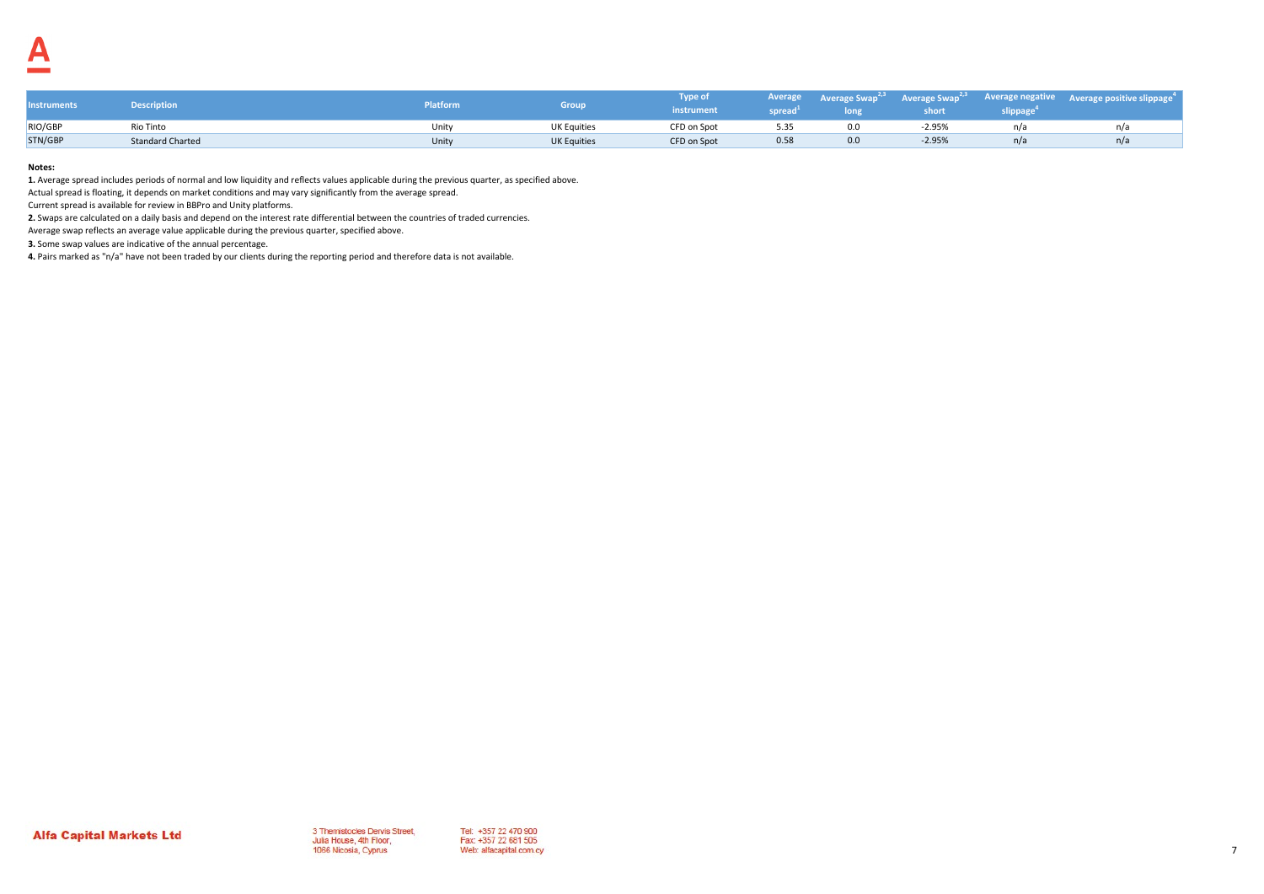| <b>Instruments</b> | <b>Description</b>      | Platform | irour              | Type of<br>instrument | spread | long | short    | <b>slippage</b> | Average Average Swap <sup>2,3</sup> Average Swap <sup>2,3</sup> Average negative Average positive slippage <sup>4</sup> |
|--------------------|-------------------------|----------|--------------------|-----------------------|--------|------|----------|-----------------|-------------------------------------------------------------------------------------------------------------------------|
| RIO/GBP            | Rio Tinto               | Unity    | <b>UK Equities</b> | CFD on Spot           | 5.35   | 0.0  | $-2.95%$ |                 |                                                                                                                         |
| STN/GBP            | <b>Standard Charted</b> | Unity    | <b>UK Equities</b> | CFD on Spot           | 0.58   | 0.0  | $-2.95%$ | n/a             |                                                                                                                         |

**1.** Average spread includes periods of normal and low liquidity and reflects values applicable during the previous quarter, as specified above.

Actual spread is floating, it depends on market conditions and may vary significantly from the average spread.

Current spread is available for review in BBPro and Unity platforms.

**2.** Swaps are calculated on a daily basis and depend on the interest rate differential between the countries of traded currencies.

Average swap reflects an average value applicable during the previous quarter, specified above.

**3.** Some swap values are indicative of the annual percentage.

**4.** Pairs marked as "n/a" have not been traded by our clients during the reporting period and therefore data is not available.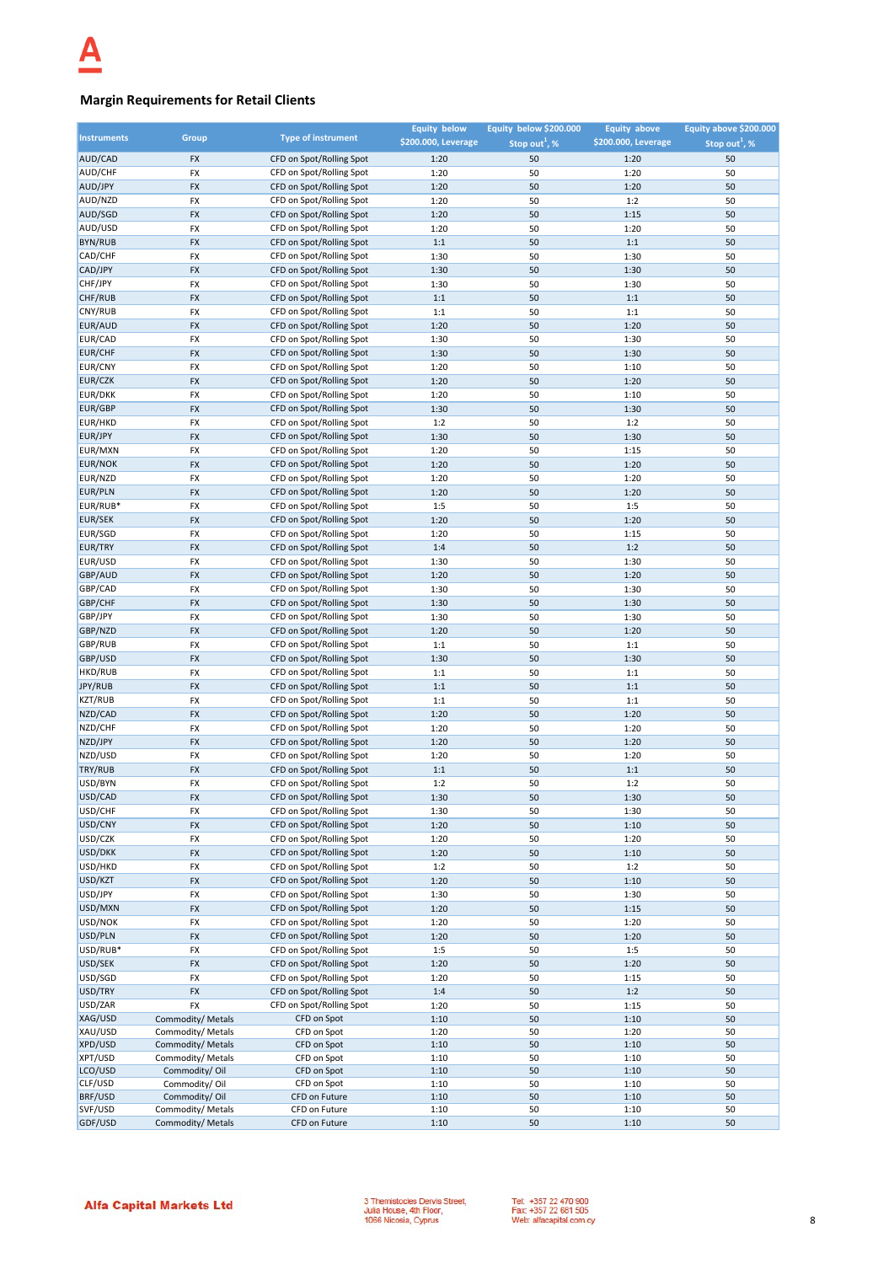## **Margin Requirements for Retail Clients**

| <b>Instruments</b> |                                        |                                                      | <b>Equity below</b> | Equity below \$200.000      | <b>Equity above</b> | Equity above \$200.000    |
|--------------------|----------------------------------------|------------------------------------------------------|---------------------|-----------------------------|---------------------|---------------------------|
|                    | Group                                  | <b>Type of instrument</b>                            | \$200.000, Leverage | Stop out <sup>1</sup> , $%$ | \$200.000, Leverage | Stop out <sup>1</sup> , % |
| AUD/CAD            | <b>FX</b>                              | CFD on Spot/Rolling Spot                             | 1:20                | 50                          | 1:20                | 50                        |
| AUD/CHF            | <b>FX</b>                              | CFD on Spot/Rolling Spot                             | 1:20                | 50                          | 1:20                | 50                        |
| AUD/JPY            | FX                                     | CFD on Spot/Rolling Spot                             | 1:20                | 50                          | 1:20                | 50                        |
| AUD/NZD            | <b>FX</b>                              | CFD on Spot/Rolling Spot                             | 1:20                | 50                          | 1:2                 | 50                        |
| AUD/SGD            | <b>FX</b>                              | CFD on Spot/Rolling Spot                             | 1:20                | 50                          | 1:15                | 50                        |
| AUD/USD            | FX                                     | CFD on Spot/Rolling Spot                             | 1:20                | 50                          | 1:20                | 50                        |
| BYN/RUB            | FX                                     | CFD on Spot/Rolling Spot                             | 1:1                 | 50                          | 1:1                 | 50                        |
| CAD/CHF            | FX                                     | CFD on Spot/Rolling Spot                             | 1:30                | 50                          | 1:30                | 50                        |
| CAD/JPY            | FX                                     | CFD on Spot/Rolling Spot                             | 1:30                | 50                          | 1:30                | 50                        |
| CHF/JPY            | FX                                     | CFD on Spot/Rolling Spot                             | 1:30                | 50                          | 1:30                | 50                        |
| CHF/RUB            | FX                                     | CFD on Spot/Rolling Spot                             | 1:1                 | 50                          | $1:1$               | 50                        |
| CNY/RUB            | <b>FX</b>                              | CFD on Spot/Rolling Spot                             | 1:1                 | 50                          | 1:1                 | 50                        |
| EUR/AUD            | <b>FX</b>                              | CFD on Spot/Rolling Spot                             | 1:20                | 50                          | 1:20                | 50                        |
| <b>EUR/CAD</b>     | FX                                     | CFD on Spot/Rolling Spot                             | 1:30                | 50                          | 1:30                | 50                        |
| <b>EUR/CHF</b>     | <b>FX</b>                              | CFD on Spot/Rolling Spot                             | 1:30                | 50                          | 1:30                | 50                        |
| <b>EUR/CNY</b>     | <b>FX</b>                              | CFD on Spot/Rolling Spot                             | 1:20                | 50                          | 1:10                | 50                        |
| EUR/CZK            | FX                                     | CFD on Spot/Rolling Spot                             | 1:20                | 50                          | 1:20                | 50                        |
| <b>EUR/DKK</b>     | <b>FX</b>                              | CFD on Spot/Rolling Spot                             | 1:20                | 50                          | 1:10                | 50                        |
| EUR/GBP            | <b>FX</b>                              | CFD on Spot/Rolling Spot                             | 1:30                | 50                          | 1:30                | 50                        |
| <b>EUR/HKD</b>     | <b>FX</b>                              | CFD on Spot/Rolling Spot                             | 1:2                 | 50                          | 1:2                 | 50                        |
| EUR/JPY            | FX                                     | CFD on Spot/Rolling Spot                             | 1:30                | 50                          | 1:30                | 50                        |
| EUR/MXN            | FX                                     | CFD on Spot/Rolling Spot                             | 1:20                | 50                          | 1:15                | 50                        |
| <b>EUR/NOK</b>     | FX                                     | CFD on Spot/Rolling Spot                             | 1:20                | 50                          | 1:20                | 50                        |
| EUR/NZD            | FX                                     | CFD on Spot/Rolling Spot                             | 1:20                | 50                          | 1:20                | 50                        |
| EUR/PLN            | <b>FX</b>                              | CFD on Spot/Rolling Spot                             | 1:20                | 50                          | 1:20                | 50                        |
| EUR/RUB*           | FX                                     | CFD on Spot/Rolling Spot                             | 1:5                 | 50                          | 1:5                 | 50                        |
| <b>EUR/SEK</b>     | <b>FX</b>                              | CFD on Spot/Rolling Spot                             | 1:20                | 50                          | 1:20                | 50                        |
| EUR/SGD            | FX                                     | CFD on Spot/Rolling Spot                             | 1:20                | 50                          | 1:15                | 50                        |
| <b>EUR/TRY</b>     | <b>FX</b>                              | CFD on Spot/Rolling Spot                             | 1:4                 | 50                          | 1:2                 | 50                        |
| EUR/USD            | <b>FX</b>                              | CFD on Spot/Rolling Spot                             | 1:30                | 50                          | 1:30                | 50                        |
| GBP/AUD            | <b>FX</b>                              | CFD on Spot/Rolling Spot                             | 1:20                | 50                          | 1:20                | 50                        |
| GBP/CAD            | <b>FX</b>                              | CFD on Spot/Rolling Spot                             | 1:30                | 50                          | 1:30                | 50                        |
| GBP/CHF            | FX                                     | CFD on Spot/Rolling Spot                             | 1:30                | 50                          | 1:30                | 50                        |
| GBP/JPY            | <b>FX</b>                              | CFD on Spot/Rolling Spot                             | 1:30                | 50                          | 1:30                | 50                        |
| GBP/NZD            | FX                                     | CFD on Spot/Rolling Spot                             | 1:20                | 50                          | 1:20                | 50                        |
| GBP/RUB            | FX                                     | CFD on Spot/Rolling Spot                             | 1:1                 | 50                          | 1:1                 | 50                        |
| GBP/USD            | <b>FX</b>                              | CFD on Spot/Rolling Spot                             | 1:30                | 50                          | 1:30                | 50                        |
| HKD/RUB            | FX                                     | CFD on Spot/Rolling Spot                             | 1:1                 | 50                          | 1:1                 | 50                        |
| JPY/RUB            | <b>FX</b>                              | CFD on Spot/Rolling Spot                             | 1:1                 | 50                          | 1:1                 | 50                        |
| <b>KZT/RUB</b>     | FX                                     | CFD on Spot/Rolling Spot                             | 1:1                 | 50                          | 1:1                 | 50                        |
| NZD/CAD            | <b>FX</b>                              | CFD on Spot/Rolling Spot                             | 1:20                | 50                          | 1:20                | 50                        |
| NZD/CHF            | FX                                     | CFD on Spot/Rolling Spot                             | 1:20                | 50                          | 1:20                | 50                        |
| NZD/JPY            | FX                                     | CFD on Spot/Rolling Spot                             | 1:20                | 50                          | 1:20                | 50                        |
| NZD/USD            | FX                                     | CFD on Spot/Rolling Spot                             | 1:20                | 50                          | 1:20                | 50                        |
| TRY/RUB            | <b>FX</b>                              | CFD on Spot/Rolling Spot                             | 1:1                 | 50                          | 1:1                 | 50                        |
| USD/BYN            | FX                                     | CFD on Spot/Rolling Spot                             | 1:2                 | 50                          | 1:2                 | 50                        |
| USD/CAD            | FX                                     | CFD on Spot/Rolling Spot                             | 1:30                | 50                          | 1:30                | 50                        |
| USD/CHF            | FX                                     | CFD on Spot/Rolling Spot                             | 1:30                | 50                          | 1:30                | 50                        |
| USD/CNY            | <b>FX</b>                              | CFD on Spot/Rolling Spot                             | 1:20                | 50                          | 1:10                | 50                        |
| USD/CZK            | FX                                     | CFD on Spot/Rolling Spot                             | 1:20                | 50                          | 1:20                | 50                        |
| USD/DKK            | FX                                     | CFD on Spot/Rolling Spot                             | 1:20                | 50                          | 1:10                | 50                        |
| USD/HKD            |                                        | CFD on Spot/Rolling Spot                             |                     |                             | 1:2                 | 50                        |
| USD/KZT            | FX<br>FX                               | CFD on Spot/Rolling Spot                             | 1:2<br>1:20         | 50<br>50                    | 1:10                | 50                        |
| USD/JPY            |                                        | CFD on Spot/Rolling Spot                             |                     |                             | 1:30                | 50                        |
| USD/MXN            | FX                                     | CFD on Spot/Rolling Spot                             | 1:30                | 50                          |                     | 50                        |
| USD/NOK            | FX                                     | CFD on Spot/Rolling Spot                             | 1:20                | 50                          | 1:15<br>1:20        | 50                        |
| USD/PLN            | FX                                     |                                                      | 1:20                | 50                          |                     |                           |
| USD/RUB*           | FX<br>FX                               | CFD on Spot/Rolling Spot<br>CFD on Spot/Rolling Spot | 1:20                | 50<br>50                    | 1:20<br>1:5         | 50<br>50                  |
|                    |                                        | CFD on Spot/Rolling Spot                             | 1:5                 |                             |                     |                           |
| USD/SEK            | FX                                     |                                                      | 1:20                | 50                          | 1:20                | 50                        |
| USD/SGD<br>USD/TRY | FX                                     | CFD on Spot/Rolling Spot                             | 1:20                | 50                          | 1:15                | 50                        |
| USD/ZAR            | FX                                     | CFD on Spot/Rolling Spot<br>CFD on Spot/Rolling Spot | 1:4                 | 50                          | 1:2                 | 50                        |
| XAG/USD            | <b>FX</b>                              |                                                      | 1:20                | 50                          | 1:15                | 50                        |
| XAU/USD            | Commodity/ Metals<br>Commodity/ Metals | CFD on Spot<br>CFD on Spot                           | 1:10<br>1:20        | 50<br>50                    | 1:10<br>1:20        | 50<br>50                  |
| XPD/USD            | Commodity/ Metals                      | CFD on Spot                                          | 1:10                | 50                          | 1:10                | 50                        |
| XPT/USD            | Commodity/ Metals                      | CFD on Spot                                          | 1:10                | 50                          | 1:10                | 50                        |
| LCO/USD            | Commodity/Oil                          | CFD on Spot                                          | 1:10                | 50                          | 1:10                | 50                        |
| CLF/USD            | Commodity/Oil                          | CFD on Spot                                          | 1:10                | 50                          | 1:10                | 50                        |
| BRF/USD            | Commodity/Oil                          | CFD on Future                                        | 1:10                | 50                          | 1:10                | 50                        |
| SVF/USD            | Commodity/ Metals                      | CFD on Future                                        | 1:10                | 50                          | 1:10                | 50                        |
| GDF/USD            | Commodity/ Metals                      | CFD on Future                                        | 1:10                | 50                          | 1:10                | 50                        |

3 Themistocles Dervis Street,<br>Julia House, 4th Floor,<br>1066 Nicosia, Cyprus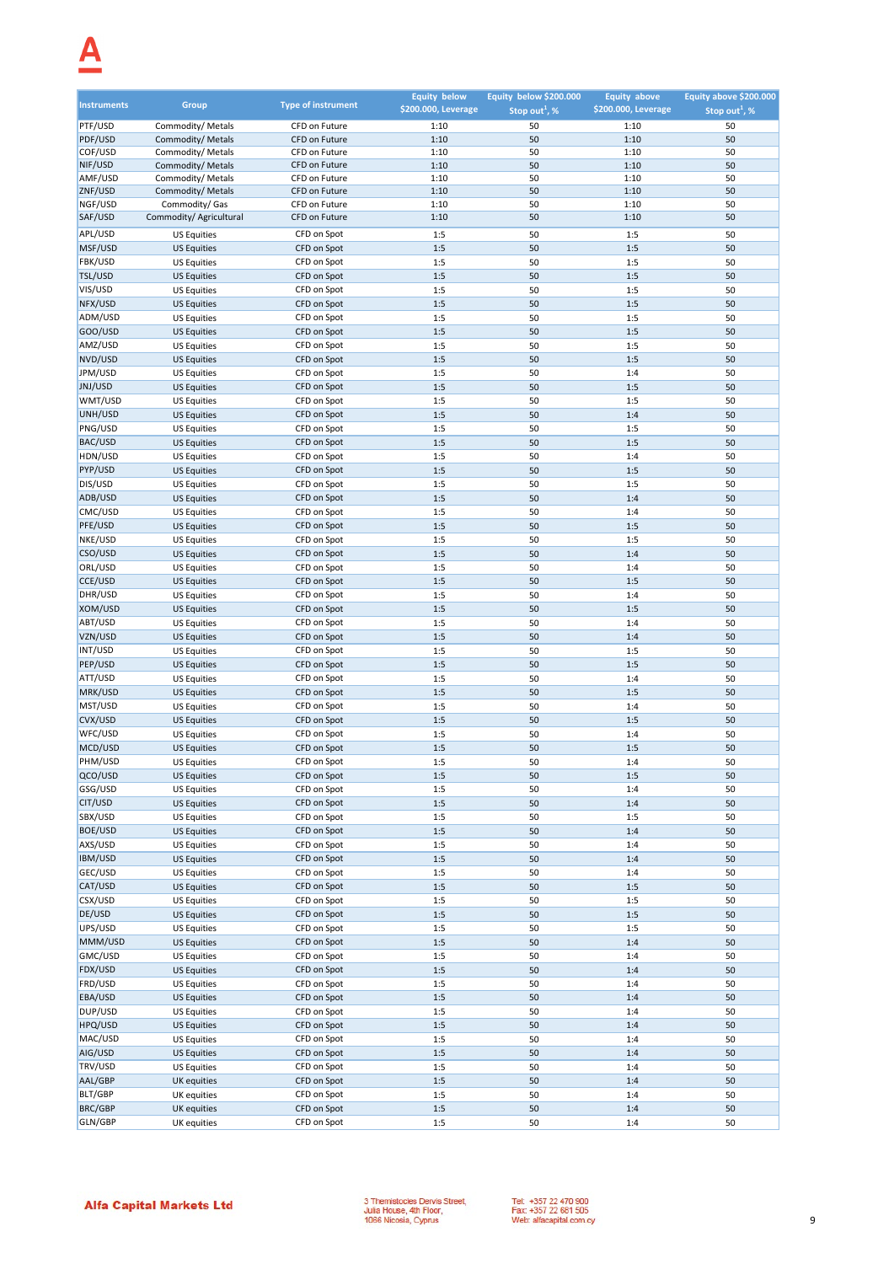# $\Delta$

| <b>Instruments</b> | Group                                     | <b>Type of instrument</b>      | <b>Equity below</b><br>\$200.000, Leverage | Equity below \$200.000<br>Stop out <sup>1</sup> , % | <b>Equity above</b><br>\$200.000, Leverage | Equity above \$200.000<br>Stop out <sup>1</sup> , % |
|--------------------|-------------------------------------------|--------------------------------|--------------------------------------------|-----------------------------------------------------|--------------------------------------------|-----------------------------------------------------|
| PTF/USD            | Commodity/ Metals                         | CFD on Future                  | 1:10                                       | 50                                                  | 1:10                                       | 50                                                  |
| PDF/USD            | Commodity/ Metals                         | CFD on Future                  | 1:10                                       | 50                                                  | 1:10                                       | 50                                                  |
| COF/USD            | Commodity/ Metals                         | CFD on Future                  | 1:10                                       | 50                                                  | 1:10                                       | 50                                                  |
| NIF/USD            | Commodity/ Metals                         | CFD on Future                  | 1:10                                       | 50                                                  | 1:10                                       | 50                                                  |
| AMF/USD            | Commodity/ Metals                         | CFD on Future                  | 1:10                                       | 50                                                  | 1:10                                       | 50                                                  |
| ZNF/USD            | Commodity/ Metals                         | CFD on Future                  | 1:10                                       | 50                                                  | 1:10                                       | 50                                                  |
| NGF/USD<br>SAF/USD | Commodity/ Gas<br>Commodity/ Agricultural | CFD on Future<br>CFD on Future | 1:10<br>1:10                               | 50<br>50                                            | 1:10<br>1:10                               | 50<br>50                                            |
|                    |                                           |                                |                                            |                                                     |                                            |                                                     |
| APL/USD<br>MSF/USD | <b>US Equities</b>                        | CFD on Spot<br>CFD on Spot     | 1:5<br>1:5                                 | 50<br>50                                            | 1:5<br>1:5                                 | 50<br>50                                            |
| FBK/USD            | <b>US Equities</b><br><b>US Equities</b>  | CFD on Spot                    | 1:5                                        | 50                                                  | 1:5                                        | 50                                                  |
| TSL/USD            | <b>US Equities</b>                        | CFD on Spot                    | 1:5                                        | 50                                                  | 1:5                                        | 50                                                  |
| VIS/USD            | <b>US Equities</b>                        | CFD on Spot                    | 1:5                                        | 50                                                  | 1:5                                        | 50                                                  |
| NFX/USD            | <b>US Equities</b>                        | CFD on Spot                    | 1:5                                        | 50                                                  | 1:5                                        | 50                                                  |
| ADM/USD            | <b>US Equities</b>                        | CFD on Spot                    | 1:5                                        | 50                                                  | 1:5                                        | 50                                                  |
| GOO/USD            | <b>US Equities</b>                        | CFD on Spot                    | 1:5                                        | 50                                                  | 1:5                                        | 50                                                  |
| AMZ/USD            | <b>US Equities</b>                        | CFD on Spot                    | 1:5                                        | 50                                                  | 1:5                                        | 50                                                  |
| NVD/USD            | <b>US Equities</b>                        | CFD on Spot                    | 1:5                                        | 50                                                  | 1:5                                        | 50                                                  |
| JPM/USD            | <b>US Equities</b>                        | CFD on Spot                    | 1:5                                        | 50                                                  | 1:4                                        | 50                                                  |
| JNJ/USD            | <b>US Equities</b>                        | CFD on Spot                    | 1:5                                        | 50                                                  | 1:5                                        | 50                                                  |
| WMT/USD            | <b>US Equities</b>                        | CFD on Spot                    | 1:5                                        | 50                                                  | 1:5                                        | 50                                                  |
| UNH/USD<br>PNG/USD | <b>US Equities</b>                        | CFD on Spot                    | 1:5                                        | 50                                                  | 1:4                                        | 50                                                  |
| BAC/USD            | <b>US Equities</b><br><b>US Equities</b>  | CFD on Spot<br>CFD on Spot     | 1:5<br>1:5                                 | 50<br>50                                            | 1:5<br>1:5                                 | 50<br>50                                            |
| HDN/USD            | <b>US Equities</b>                        | CFD on Spot                    | 1:5                                        | 50                                                  | 1:4                                        | 50                                                  |
| PYP/USD            | <b>US Equities</b>                        | CFD on Spot                    | 1:5                                        | 50                                                  | 1:5                                        | 50                                                  |
| DIS/USD            | <b>US Equities</b>                        | CFD on Spot                    | 1:5                                        | 50                                                  | 1:5                                        | 50                                                  |
| ADB/USD            | <b>US Equities</b>                        | CFD on Spot                    | 1:5                                        | 50                                                  | 1:4                                        | 50                                                  |
| CMC/USD            | <b>US Equities</b>                        | CFD on Spot                    | 1:5                                        | 50                                                  | 1:4                                        | 50                                                  |
| PFE/USD            | <b>US Equities</b>                        | CFD on Spot                    | 1:5                                        | 50                                                  | 1:5                                        | 50                                                  |
| NKE/USD            | <b>US Equities</b>                        | CFD on Spot                    | 1:5                                        | 50                                                  | 1:5                                        | 50                                                  |
| CSO/USD            | <b>US Equities</b>                        | CFD on Spot                    | 1:5                                        | 50                                                  | 1:4                                        | 50                                                  |
| ORL/USD            | <b>US Equities</b>                        | CFD on Spot                    | 1:5                                        | 50                                                  | 1:4                                        | 50                                                  |
| CCE/USD            | <b>US Equities</b>                        | CFD on Spot                    | 1:5                                        | 50                                                  | 1:5                                        | 50                                                  |
| DHR/USD            | <b>US Equities</b>                        | CFD on Spot                    | 1:5                                        | 50                                                  | 1:4                                        | 50                                                  |
| XOM/USD            | <b>US Equities</b>                        | CFD on Spot                    | 1:5                                        | 50                                                  | 1:5                                        | 50                                                  |
| ABT/USD            | <b>US Equities</b>                        | CFD on Spot                    | 1:5                                        | 50                                                  | 1:4                                        | 50                                                  |
| VZN/USD<br>INT/USD | <b>US Equities</b><br><b>US Equities</b>  | CFD on Spot<br>CFD on Spot     | 1:5<br>1:5                                 | 50<br>50                                            | 1:4<br>1:5                                 | 50<br>50                                            |
| PEP/USD            | <b>US Equities</b>                        | CFD on Spot                    | 1:5                                        | 50                                                  | 1:5                                        | 50                                                  |
| ATT/USD            | <b>US Equities</b>                        | CFD on Spot                    | 1:5                                        | 50                                                  | 1:4                                        | 50                                                  |
| MRK/USD            | <b>US Equities</b>                        | CFD on Spot                    | 1:5                                        | 50                                                  | 1:5                                        | 50                                                  |
| MST/USD            | <b>US Equities</b>                        | CFD on Spot                    | 1:5                                        | 50                                                  | 1:4                                        | 50                                                  |
| CVX/USD            | <b>US Equities</b>                        | CFD on Spot                    | 1:5                                        | 50                                                  | 1:5                                        | 50                                                  |
| WFC/USD            | <b>US Equities</b>                        | CFD on Spot                    | 1:5                                        | 50                                                  | 1:4                                        | 50                                                  |
| MCD/USD            | <b>US Equities</b>                        | CFD on Spot                    | 1:5                                        | 50                                                  | 1:5                                        | 50                                                  |
| PHM/USD            | <b>US Equities</b>                        | CFD on Spot                    | 1:5                                        | 50                                                  | 1:4                                        | 50                                                  |
| QCO/USD            | <b>US Equities</b>                        | CFD on Spot                    | 1:5                                        | 50                                                  | 1:5                                        | 50                                                  |
| GSG/USD            | <b>US Equities</b>                        | CFD on Spot                    | 1:5                                        | 50                                                  | 1:4                                        | 50                                                  |
| CIT/USD<br>SBX/USD | <b>US Equities</b>                        | CFD on Spot                    | 1:5                                        | 50                                                  | 1:4                                        | 50                                                  |
| <b>BOE/USD</b>     | <b>US Equities</b><br><b>US Equities</b>  | CFD on Spot<br>CFD on Spot     | 1:5<br>1:5                                 | 50<br>50                                            | 1:5<br>1:4                                 | 50<br>50                                            |
| AXS/USD            | <b>US Equities</b>                        | CFD on Spot                    | 1:5                                        | 50                                                  | 1:4                                        | 50                                                  |
| IBM/USD            | <b>US Equities</b>                        | CFD on Spot                    | 1:5                                        | 50                                                  | 1:4                                        | 50                                                  |
| GEC/USD            | <b>US Equities</b>                        | CFD on Spot                    | 1:5                                        | 50                                                  | 1:4                                        | 50                                                  |
| CAT/USD            | <b>US Equities</b>                        | CFD on Spot                    | 1:5                                        | 50                                                  | 1:5                                        | 50                                                  |
| CSX/USD            | <b>US Equities</b>                        | CFD on Spot                    | 1:5                                        | 50                                                  | 1:5                                        | 50                                                  |
| DE/USD             | <b>US Equities</b>                        | CFD on Spot                    | 1:5                                        | 50                                                  | 1:5                                        | 50                                                  |
| UPS/USD            | <b>US Equities</b>                        | CFD on Spot                    | 1:5                                        | 50                                                  | 1:5                                        | 50                                                  |
| MMM/USD            | <b>US Equities</b>                        | CFD on Spot                    | 1:5                                        | 50                                                  | 1:4                                        | 50                                                  |
| GMC/USD            | <b>US Equities</b>                        | CFD on Spot                    | 1:5                                        | 50                                                  | 1:4                                        | 50                                                  |
| FDX/USD            | <b>US Equities</b>                        | CFD on Spot                    | 1:5                                        | 50                                                  | 1:4                                        | 50                                                  |
| FRD/USD            | <b>US Equities</b>                        | CFD on Spot                    | 1:5                                        | 50                                                  | 1:4                                        | 50                                                  |
| EBA/USD<br>DUP/USD | <b>US Equities</b>                        | CFD on Spot<br>CFD on Spot     | 1:5<br>1:5                                 | 50<br>50                                            | 1:4                                        | 50<br>50                                            |
| HPQ/USD            | <b>US Equities</b><br><b>US Equities</b>  | CFD on Spot                    | 1:5                                        | 50                                                  | 1:4<br>1:4                                 | 50                                                  |
| MAC/USD            | <b>US Equities</b>                        | CFD on Spot                    | 1:5                                        | 50                                                  | 1:4                                        | 50                                                  |
| AIG/USD            | <b>US Equities</b>                        | CFD on Spot                    | 1:5                                        | 50                                                  | 1:4                                        | 50                                                  |
| TRV/USD            | <b>US Equities</b>                        | CFD on Spot                    | 1:5                                        | 50                                                  | 1:4                                        | 50                                                  |
| AAL/GBP            | UK equities                               | CFD on Spot                    | 1:5                                        | 50                                                  | 1:4                                        | 50                                                  |
| BLT/GBP            | UK equities                               | CFD on Spot                    | 1:5                                        | 50                                                  | 1:4                                        | 50                                                  |
| BRC/GBP            | <b>UK</b> equities                        | CFD on Spot                    | 1:5                                        | 50                                                  | 1:4                                        | 50                                                  |
| GLN/GBP            | UK equities                               | CFD on Spot                    | 1:5                                        | 50                                                  | 1:4                                        | 50                                                  |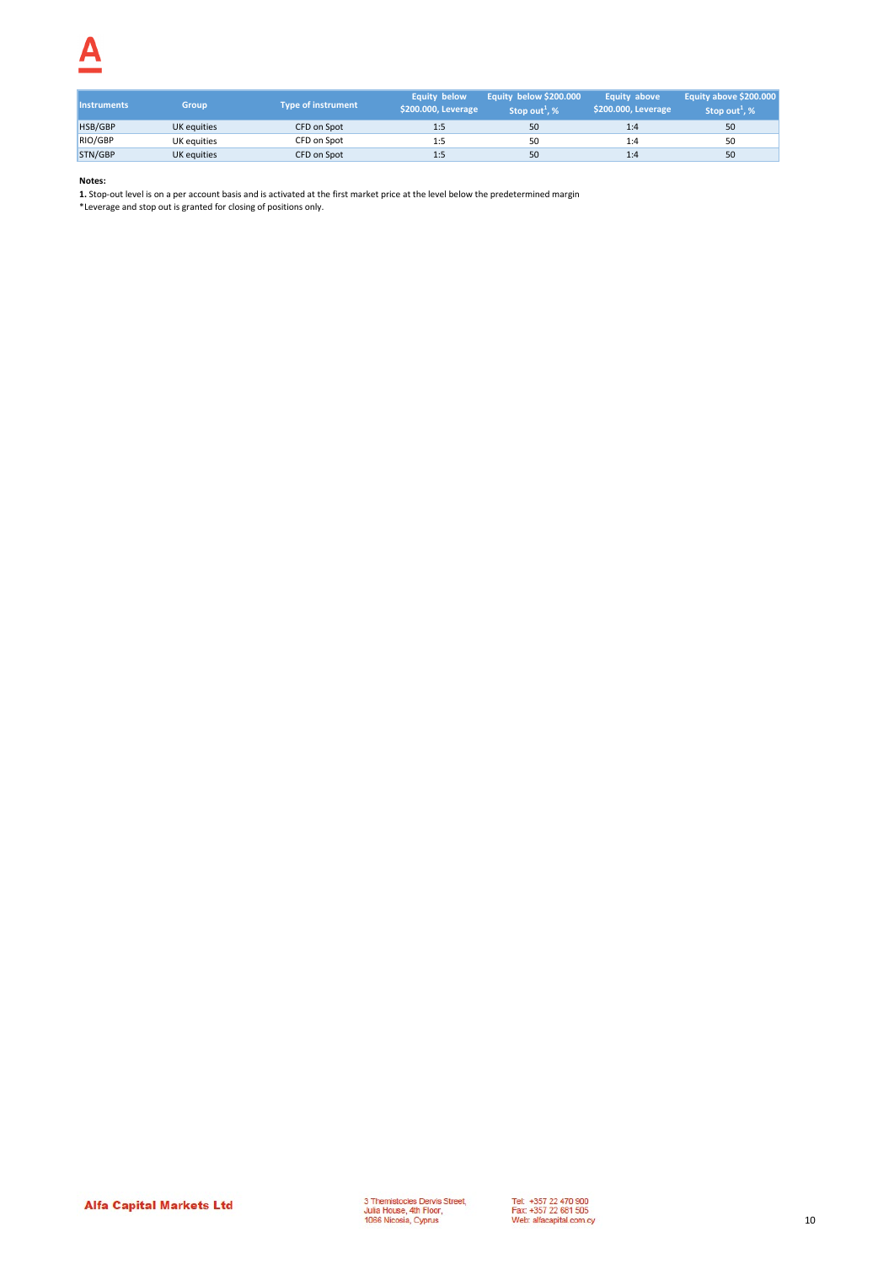| <b>Instruments</b> | <b>Group</b> | Tvpe of instrument | <b>Equity below</b><br>\$200.000, Leverage | Equity below \$200.000<br>Stop out <sup>1</sup> , % | Equity above<br>\$200.000, Leverage | Equity above \$200.000<br>Stop out <sup>1</sup> , % |
|--------------------|--------------|--------------------|--------------------------------------------|-----------------------------------------------------|-------------------------------------|-----------------------------------------------------|
| HSB/GBP            | UK equities  | CFD on Spot        | 1:5                                        | 50                                                  | 1:4                                 | 50                                                  |
| RIO/GBP            | UK equities  | CFD on Spot        |                                            | 50                                                  | 1:4                                 | 50                                                  |
| STN/GBP            | UK equities  | CFD on Spot        | 1:5                                        | 50                                                  | 1:4                                 | 50                                                  |

**1.** Stop-out level is on a per account basis and is activated at the first market price at the level below the predetermined margin

\*Leverage and stop out is granted for closing of positions only.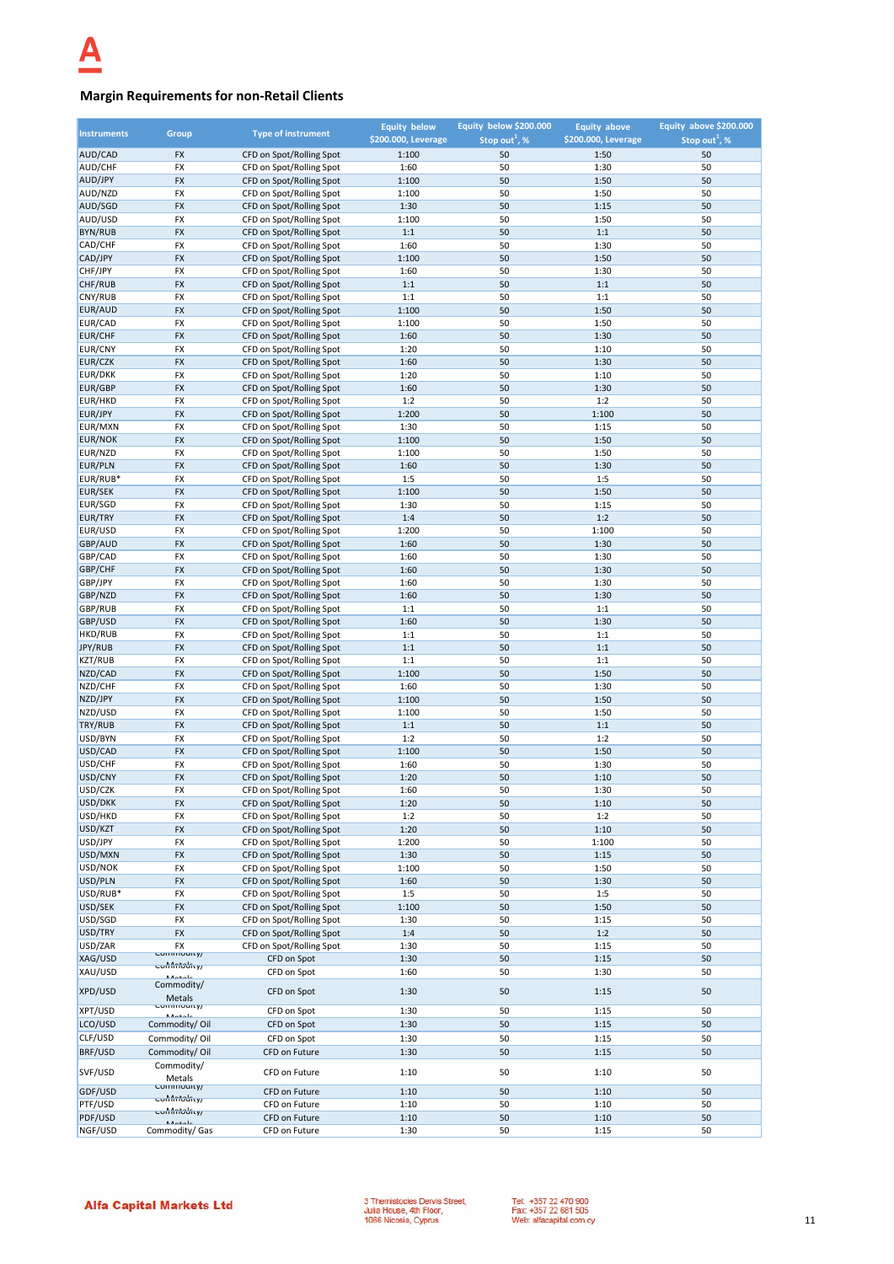## **Margin Requirements for non-Retail Clients**

| <b>Instruments</b> | <b>Group</b>                  | <b>Type of instrument</b>                            | <b>Equity below</b> | Equity below \$200.000    | <b>Equity above</b> | Equity above \$200.000    |
|--------------------|-------------------------------|------------------------------------------------------|---------------------|---------------------------|---------------------|---------------------------|
|                    |                               |                                                      | \$200.000, Leverage | Stop out <sup>1</sup> , % | \$200.000, Leverage | Stop out <sup>1</sup> , % |
| AUD/CAD            | <b>FX</b>                     | CFD on Spot/Rolling Spot                             | 1:100               | 50                        | 1:50                | 50                        |
| AUD/CHF            | FX                            | CFD on Spot/Rolling Spot                             | 1:60                | 50                        | 1:30                | 50                        |
| AUD/JPY            | <b>FX</b>                     | CFD on Spot/Rolling Spot                             | 1:100               | 50                        | 1:50                | 50                        |
| AUD/NZD<br>AUD/SGD | FX                            | CFD on Spot/Rolling Spot                             | 1:100               | 50                        | 1:50                | 50<br>50                  |
| AUD/USD            | FX<br>FX                      | CFD on Spot/Rolling Spot                             | 1:30                | 50<br>50                  | 1:15<br>1:50        | 50                        |
| <b>BYN/RUB</b>     | <b>FX</b>                     | CFD on Spot/Rolling Spot<br>CFD on Spot/Rolling Spot | 1:100<br>1:1        | 50                        | 1:1                 | 50                        |
| CAD/CHF            | FX                            | CFD on Spot/Rolling Spot                             | 1:60                | 50                        | 1:30                | 50                        |
| CAD/JPY            | FX                            | CFD on Spot/Rolling Spot                             | 1:100               | 50                        | 1:50                | 50                        |
| CHF/JPY            | FX                            | CFD on Spot/Rolling Spot                             | 1:60                | 50                        | 1:30                | 50                        |
| CHF/RUB            | <b>FX</b>                     | CFD on Spot/Rolling Spot                             | 1:1                 | 50                        | 1:1                 | 50                        |
| CNY/RUB            | FX                            | CFD on Spot/Rolling Spot                             | 1:1                 | 50                        | 1:1                 | 50                        |
| EUR/AUD            | FX                            | CFD on Spot/Rolling Spot                             | 1:100               | 50                        | 1:50                | 50                        |
| EUR/CAD            | <b>FX</b>                     | CFD on Spot/Rolling Spot                             | 1:100               | 50                        | 1:50                | 50                        |
| EUR/CHF            | <b>FX</b>                     | CFD on Spot/Rolling Spot                             | 1:60                | 50                        | 1:30                | 50                        |
| EUR/CNY            | <b>FX</b>                     | CFD on Spot/Rolling Spot                             | 1:20                | 50                        | 1:10                | 50                        |
| EUR/CZK            | <b>FX</b>                     | CFD on Spot/Rolling Spot                             | 1:60                | 50                        | 1:30                | 50                        |
| EUR/DKK            | FX                            | CFD on Spot/Rolling Spot                             | 1:20                | 50                        | 1:10                | 50                        |
| EUR/GBP            | FX                            | CFD on Spot/Rolling Spot                             | 1:60                | 50                        | 1:30                | 50                        |
| EUR/HKD            | FX                            | CFD on Spot/Rolling Spot                             | 1:2                 | 50                        | 1:2                 | 50                        |
| EUR/JPY            | FX                            | CFD on Spot/Rolling Spot                             | 1:200               | 50                        | 1:100               | 50                        |
| EUR/MXN            | <b>FX</b>                     | CFD on Spot/Rolling Spot                             | 1:30                | 50                        | 1:15                | 50                        |
| <b>EUR/NOK</b>     | <b>FX</b>                     | CFD on Spot/Rolling Spot                             | 1:100               | 50                        | 1:50                | 50                        |
| EUR/NZD            | <b>FX</b>                     | CFD on Spot/Rolling Spot                             | 1:100               | 50                        | 1:50                | 50                        |
| <b>EUR/PLN</b>     | FX                            | CFD on Spot/Rolling Spot                             | 1:60                | 50                        | 1:30                | 50                        |
| EUR/RUB*           | <b>FX</b>                     | CFD on Spot/Rolling Spot                             | 1:5                 | 50                        | 1:5                 | 50                        |
| EUR/SEK            | <b>FX</b>                     | CFD on Spot/Rolling Spot                             | 1:100               | 50                        | 1:50                | 50                        |
| EUR/SGD            | <b>FX</b>                     | CFD on Spot/Rolling Spot                             | 1:30                | 50                        | 1:15                | 50                        |
| EUR/TRY            | <b>FX</b>                     | CFD on Spot/Rolling Spot                             | 1:4                 | 50                        | 1:2                 | 50                        |
| EUR/USD            | FX                            | CFD on Spot/Rolling Spot                             | 1:200               | 50                        | 1:100               | 50                        |
| GBP/AUD            | <b>FX</b>                     | CFD on Spot/Rolling Spot                             | 1:60                | 50                        | 1:30                | 50                        |
| GBP/CAD            | <b>FX</b>                     | CFD on Spot/Rolling Spot                             | 1:60                | 50                        | 1:30                | 50                        |
| GBP/CHF            | <b>FX</b>                     | CFD on Spot/Rolling Spot                             | 1:60                | 50                        | 1:30                | 50                        |
| GBP/JPY            | FX                            | CFD on Spot/Rolling Spot                             | 1:60                | 50                        | 1:30                | 50                        |
| GBP/NZD            | <b>FX</b>                     | CFD on Spot/Rolling Spot                             | 1:60                | 50                        | 1:30                | 50                        |
| GBP/RUB            | FX                            | CFD on Spot/Rolling Spot                             | 1:1                 | 50                        | 1:1                 | 50                        |
| GBP/USD            | <b>FX</b>                     | CFD on Spot/Rolling Spot                             | 1:60                | 50                        | 1:30                | 50                        |
| HKD/RUB            | FX                            | CFD on Spot/Rolling Spot                             | 1:1                 | 50                        | 1:1                 | 50                        |
| JPY/RUB            | <b>FX</b>                     | CFD on Spot/Rolling Spot                             | 1:1                 | 50                        | 1:1                 | 50                        |
| <b>KZT/RUB</b>     | <b>FX</b>                     | CFD on Spot/Rolling Spot                             | 1:1                 | 50                        | 1:1                 | 50                        |
| NZD/CAD            | <b>FX</b>                     | CFD on Spot/Rolling Spot                             | 1:100               | 50                        | 1:50                | 50                        |
| NZD/CHF            | FX                            | CFD on Spot/Rolling Spot                             | 1:60                | 50                        | 1:30                | 50                        |
| NZD/JPY            | <b>FX</b>                     | CFD on Spot/Rolling Spot                             | 1:100               | 50                        | 1:50                | 50                        |
| NZD/USD            | FX                            | CFD on Spot/Rolling Spot                             | 1:100               | 50                        | 1:50                | 50                        |
| TRY/RUB            | <b>FX</b>                     | CFD on Spot/Rolling Spot                             | $1:1$               | 50                        | 1:1                 | 50                        |
| USD/BYN            | FX                            | CFD on Spot/Rolling Spot                             | 1:2                 | 50                        | 1:2                 | 50                        |
| USD/CAD<br>USD/CHF | <b>FX</b><br><b>FX</b>        | CFD on Spot/Rolling Spot<br>CFD on Spot/Rolling Spot | 1:100               | 50<br>50                  | 1:50<br>1:30        | 50<br>50                  |
| USD/CNY            | <b>FX</b>                     | CFD on Spot/Rolling Spot                             | 1:60                | 50                        |                     | 50                        |
| USD/CZK            | <b>FX</b>                     | CFD on Spot/Rolling Spot                             | 1:20<br>1:60        | 50                        | 1:10<br>1:30        | 50                        |
| USD/DKK            | <b>FX</b>                     | CFD on Spot/Rolling Spot                             | 1:20                | 50                        | 1:10                | 50                        |
| USD/HKD            | FX                            | CFD on Spot/Rolling Spot                             | 1:2                 | 50                        | 1:2                 | 50                        |
| USD/KZT            | <b>FX</b>                     | CFD on Spot/Rolling Spot                             | 1:20                | 50                        | 1:10                | 50                        |
| USD/JPY            | FX                            | CFD on Spot/Rolling Spot                             | 1:200               | 50                        | 1:100               | 50                        |
| USD/MXN            | <b>FX</b>                     | CFD on Spot/Rolling Spot                             | 1:30                | 50                        | 1:15                | 50                        |
| USD/NOK            | FX                            | CFD on Spot/Rolling Spot                             | 1:100               | 50                        | 1:50                | 50                        |
| USD/PLN            | <b>FX</b>                     | CFD on Spot/Rolling Spot                             | 1:60                | 50                        | 1:30                | 50                        |
| USD/RUB*           | FX                            | CFD on Spot/Rolling Spot                             | 1:5                 | 50                        | 1:5                 | 50                        |
| USD/SEK            | FX                            | CFD on Spot/Rolling Spot                             | 1:100               | 50                        | 1:50                | 50                        |
| USD/SGD            | FX                            | CFD on Spot/Rolling Spot                             | 1:30                | 50                        | 1:15                | 50                        |
| USD/TRY            | <b>FX</b>                     | CFD on Spot/Rolling Spot                             | 1:4                 | 50                        | 1:2                 | 50                        |
| USD/ZAR            | FX                            | CFD on Spot/Rolling Spot                             | 1:30                | 50                        | 1:15                | 50                        |
| XAG/USD            | Commodity/                    | CFD on Spot                                          | 1:30                | 50                        | 1:15                | 50                        |
| XAU/USD            | confinitionry/<br>ملمعمقة     | CFD on Spot                                          | 1:60                | 50                        | 1:30                | 50                        |
| XPD/USD            | Commodity/                    |                                                      |                     |                           |                     |                           |
|                    | <b>Metals</b>                 | CFD on Spot                                          | 1:30                | 50                        | 1:15                | 50                        |
| XPT/USD            | <u>commounty/</u><br>المقمالة | CFD on Spot                                          | 1:30                | 50                        | 1:15                | 50                        |
| LCO/USD            | Commodity/Oil                 | CFD on Spot                                          | 1:30                | 50                        | 1:15                | 50                        |
| CLF/USD            | Commodity/Oil                 | CFD on Spot                                          | 1:30                | 50                        | 1:15                | 50                        |
| BRF/USD            | Commodity/Oil                 | CFD on Future                                        | 1:30                | 50                        | 1:15                | 50                        |
|                    | Commodity/                    |                                                      |                     |                           |                     |                           |
| SVF/USD            | Metals                        | CFD on Future                                        | 1:10                | 50                        | 1:10                | 50                        |
| GDF/USD            | Commodity/                    | CFD on Future                                        | 1:10                | 50                        | 1:10                | 50                        |
| PTF/USD            | <del>conniciourty</del>       | CFD on Future                                        | 1:10                | 50                        | 1:10                | 50                        |
| PDF/USD            | contributivy                  | CFD on Future                                        | 1:10                | 50                        | 1:10                | 50                        |
| NGF/USD            | Commodity/ Gas                | CFD on Future                                        | 1:30                | 50                        | 1:15                | 50                        |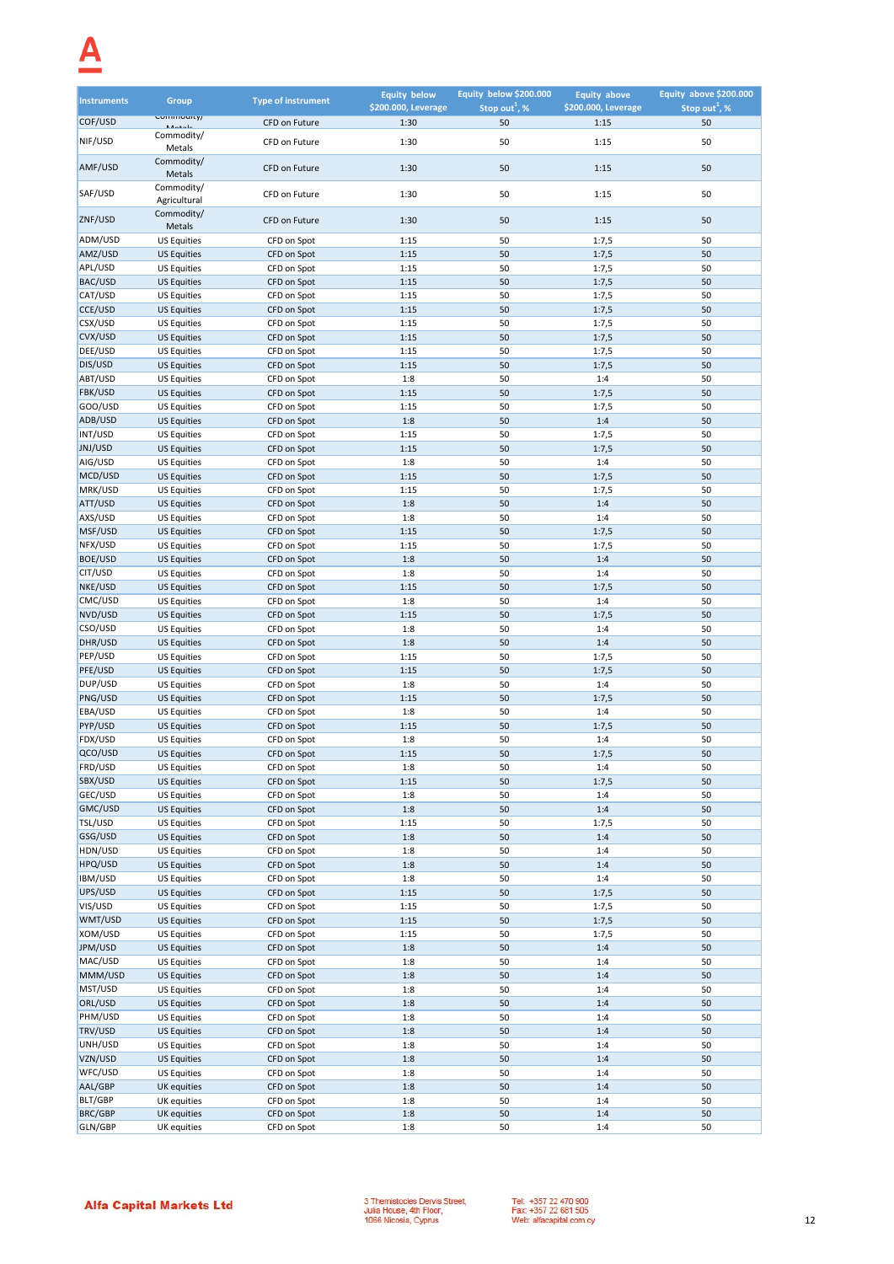| <b>Instruments</b> | Group                                    | <b>Type of instrument</b>  | <b>Equity below</b> | Equity below \$200.000    | <b>Equity above</b> | Equity above \$200.000    |
|--------------------|------------------------------------------|----------------------------|---------------------|---------------------------|---------------------|---------------------------|
|                    | Commodity/                               |                            | \$200.000, Leverage | Stop out <sup>1</sup> , % | \$200.000, Leverage | Stop out <sup>1</sup> , % |
| COF/USD            | <b>Advanta</b>                           | CFD on Future              | 1:30                | 50                        | 1:15                | 50                        |
| NIF/USD            | Commodity/<br>Metals                     | CFD on Future              | 1:30                | 50                        | 1:15                | 50                        |
|                    | Commodity/                               |                            |                     |                           |                     |                           |
| AMF/USD            | Metals                                   | CFD on Future              | 1:30                | 50                        | 1:15                | 50                        |
| SAF/USD            | Commodity/                               | CFD on Future              |                     | 50                        |                     | 50                        |
|                    | Agricultural                             |                            | 1:30                |                           | 1:15                |                           |
| ZNF/USD            | Commodity/                               | CFD on Future              | 1:30                | 50                        | 1:15                | 50                        |
|                    | Metals                                   |                            |                     |                           |                     |                           |
| ADM/USD<br>AMZ/USD | <b>US Equities</b><br><b>US Equities</b> | CFD on Spot<br>CFD on Spot | 1:15<br>1:15        | 50<br>50                  | 1:7,5<br>1:7,5      | 50<br>50                  |
| APL/USD            | <b>US Equities</b>                       | CFD on Spot                | 1:15                | 50                        | 1:7,5               | 50                        |
| BAC/USD            | <b>US Equities</b>                       | CFD on Spot                | 1:15                | 50                        | 1:7,5               | 50                        |
| CAT/USD            | <b>US Equities</b>                       | CFD on Spot                | 1:15                | 50                        | 1:7,5               | 50                        |
| CCE/USD            | <b>US Equities</b>                       | CFD on Spot                | 1:15                | 50                        | 1:7,5               | 50                        |
| CSX/USD            | <b>US Equities</b>                       | CFD on Spot                | 1:15                | 50                        | 1:7,5               | 50                        |
| CVX/USD            | <b>US Equities</b>                       | CFD on Spot                | 1:15                | 50                        | 1:7,5               | 50                        |
| DEE/USD            | <b>US Equities</b>                       | CFD on Spot                | 1:15                | 50                        | 1:7,5               | 50                        |
| DIS/USD            | <b>US Equities</b>                       | CFD on Spot                | 1:15                | 50                        | 1:7,5               | 50                        |
| ABT/USD            | <b>US Equities</b>                       | CFD on Spot                | 1:8                 | 50                        | 1:4                 | 50                        |
| FBK/USD            | <b>US Equities</b>                       | CFD on Spot                | 1:15                | 50                        | 1:7,5               | 50                        |
| GOO/USD            | <b>US Equities</b>                       | CFD on Spot                | 1:15                | 50                        | 1:7,5               | 50                        |
| ADB/USD            | <b>US Equities</b>                       | CFD on Spot                | 1:8                 | 50                        | 1:4                 | 50                        |
| INT/USD            | <b>US Equities</b>                       | CFD on Spot                | 1:15                | 50                        | 1:7,5               | 50                        |
| JNJ/USD<br>AIG/USD | <b>US Equities</b>                       | CFD on Spot                | 1:15                | 50                        | 1:7,5               | 50                        |
| MCD/USD            | <b>US Equities</b><br><b>US Equities</b> | CFD on Spot<br>CFD on Spot | 1:8<br>1:15         | 50<br>50                  | 1:4<br>1:7,5        | 50<br>50                  |
| MRK/USD            | <b>US Equities</b>                       | CFD on Spot                | 1:15                | 50                        | 1:7,5               | 50                        |
| ATT/USD            | <b>US Equities</b>                       | CFD on Spot                | 1:8                 | 50                        | 1:4                 | 50                        |
| AXS/USD            | <b>US Equities</b>                       | CFD on Spot                | 1:8                 | 50                        | 1:4                 | 50                        |
| MSF/USD            | <b>US Equities</b>                       | CFD on Spot                | 1:15                | 50                        | 1:7,5               | 50                        |
| NFX/USD            | <b>US Equities</b>                       | CFD on Spot                | 1:15                | 50                        | 1:7,5               | 50                        |
| <b>BOE/USD</b>     | <b>US Equities</b>                       | CFD on Spot                | 1:8                 | 50                        | 1:4                 | 50                        |
| CIT/USD            | <b>US Equities</b>                       | CFD on Spot                | 1:8                 | 50                        | 1:4                 | 50                        |
| NKE/USD            | <b>US Equities</b>                       | CFD on Spot                | 1:15                | 50                        | 1:7,5               | 50                        |
| CMC/USD            | <b>US Equities</b>                       | CFD on Spot                | 1:8                 | 50                        | 1:4                 | 50                        |
| NVD/USD            | <b>US Equities</b>                       | CFD on Spot                | 1:15                | 50                        | 1:7,5               | 50                        |
| CSO/USD            | <b>US Equities</b>                       | CFD on Spot                | 1:8                 | 50                        | 1:4                 | 50                        |
| DHR/USD            | <b>US Equities</b>                       | CFD on Spot                | 1:8                 | 50                        | 1:4                 | 50                        |
| PEP/USD            | <b>US Equities</b>                       | CFD on Spot                | 1:15                | 50                        | 1:7,5               | 50                        |
| PFE/USD<br>DUP/USD | <b>US Equities</b><br><b>US Equities</b> | CFD on Spot                | 1:15<br>1:8         | 50<br>50                  | 1:7,5<br>1:4        | 50<br>50                  |
| PNG/USD            | <b>US Equities</b>                       | CFD on Spot<br>CFD on Spot | 1:15                | 50                        | 1:7,5               | 50                        |
| EBA/USD            | <b>US Equities</b>                       | CFD on Spot                | 1:8                 | 50                        | 1:4                 | 50                        |
| PYP/USD            | <b>US Equities</b>                       | CFD on Spot                | 1:15                | 50                        | 1:7,5               | 50                        |
| FDX/USD            | <b>US Equities</b>                       | CFD on Spot                | 1:8                 | 50                        | 1:4                 | 50                        |
| QCO/USD            | <b>US Equities</b>                       | CFD on Spot                | 1:15                | 50                        | 1:7,5               | 50                        |
| FRD/USD            | <b>US Equities</b>                       | CFD on Spot                | 1:8                 | 50                        | 1:4                 | 50                        |
| SBX/USD            | <b>US Equities</b>                       | CFD on Spot                | 1:15                | 50                        | 1:7,5               | 50                        |
| GEC/USD            | <b>US Equities</b>                       | CFD on Spot                | 1:8                 | 50                        | 1:4                 | 50                        |
| GMC/USD            | <b>US Equities</b>                       | CFD on Spot                | 1:8                 | 50                        | 1:4                 | 50                        |
| TSL/USD            | <b>US Equities</b>                       | CFD on Spot                | 1:15                | 50                        | 1:7,5               | 50                        |
| GSG/USD            | <b>US Equities</b>                       | CFD on Spot                | 1:8                 | 50                        | 1:4                 | 50                        |
| HDN/USD<br>HPQ/USD | <b>US Equities</b><br><b>US Equities</b> | CFD on Spot<br>CFD on Spot | 1:8<br>1:8          | 50<br>50                  | 1:4                 | 50<br>50                  |
| <b>IBM/USD</b>     | <b>US Equities</b>                       | CFD on Spot                | 1:8                 | 50                        | 1:4<br>1:4          | 50                        |
| UPS/USD            | <b>US Equities</b>                       | CFD on Spot                | 1:15                | 50                        | 1:7,5               | 50                        |
| VIS/USD            | <b>US Equities</b>                       | CFD on Spot                | 1:15                | 50                        | 1:7,5               | 50                        |
| WMT/USD            | <b>US Equities</b>                       | CFD on Spot                | 1:15                | 50                        | 1:7,5               | 50                        |
| XOM/USD            | <b>US Equities</b>                       | CFD on Spot                | 1:15                | 50                        | 1:7,5               | 50                        |
| JPM/USD            | <b>US Equities</b>                       | CFD on Spot                | 1:8                 | 50                        | 1:4                 | 50                        |
| MAC/USD            | <b>US Equities</b>                       | CFD on Spot                | 1:8                 | 50                        | 1:4                 | 50                        |
| MMM/USD            | <b>US Equities</b>                       | CFD on Spot                | 1:8                 | 50                        | 1:4                 | 50                        |
| MST/USD            | <b>US Equities</b>                       | CFD on Spot                | 1:8                 | 50                        | 1:4                 | 50                        |
| ORL/USD            | <b>US Equities</b>                       | CFD on Spot                | 1:8                 | 50                        | 1:4                 | 50                        |
| PHM/USD            | <b>US Equities</b>                       | CFD on Spot                | 1:8                 | 50                        | 1:4                 | 50                        |
| TRV/USD            | <b>US Equities</b>                       | CFD on Spot                | 1:8                 | 50                        | 1:4                 | 50                        |
| UNH/USD            | <b>US Equities</b>                       | CFD on Spot                | 1:8                 | 50                        | 1:4                 | 50                        |
| VZN/USD<br>WFC/USD | <b>US Equities</b>                       | CFD on Spot                | 1:8                 | 50<br>50                  | 1:4                 | 50<br>50                  |
| AAL/GBP            | <b>US Equities</b><br>UK equities        | CFD on Spot<br>CFD on Spot | 1:8<br>1:8          | 50                        | 1:4<br>1:4          | 50                        |
| <b>BLT/GBP</b>     | UK equities                              | CFD on Spot                | 1:8                 | 50                        | 1:4                 | 50                        |
| BRC/GBP            | UK equities                              | CFD on Spot                | 1:8                 | 50                        | 1:4                 | 50                        |
| GLN/GBP            | UK equities                              | CFD on Spot                | 1:8                 | 50                        | 1:4                 | 50                        |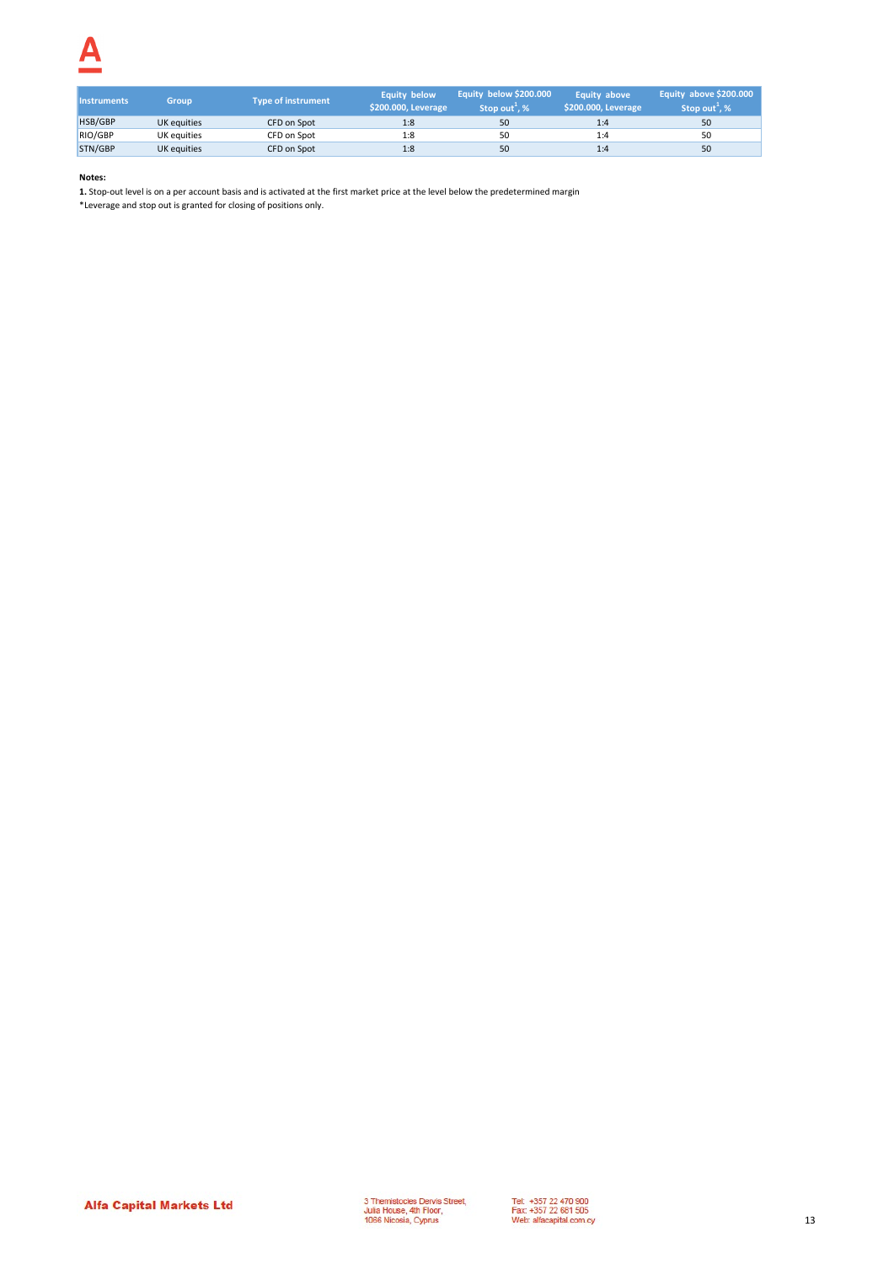| <b>Instruments</b> | <b>Group</b> | <b>Type of instrument</b> | <b>Equity below</b><br>\$200.000, Leverage | Equity below \$200.000<br>Stop out <sup>1</sup> , % | <b>Equity above</b><br>\$200.000, Leverage | Equity above \$200,000<br>Stop out <sup>+</sup> , % |
|--------------------|--------------|---------------------------|--------------------------------------------|-----------------------------------------------------|--------------------------------------------|-----------------------------------------------------|
| HSB/GBP            | UK equities  | CFD on Spot               | 1:8                                        | 50                                                  | 1:4                                        | 50                                                  |
| RIO/GBP            | UK equities  | CFD on Spot               | 1:8                                        | 50                                                  | 1:4                                        | 50                                                  |
| STN/GBP            | UK equities  | CFD on Spot               | 1:8                                        | 50                                                  | 1:4                                        | 50                                                  |

**1.** Stop-out level is on a per account basis and is activated at the first market price at the level below the predetermined margin

\*Leverage and stop out is granted for closing of positions only.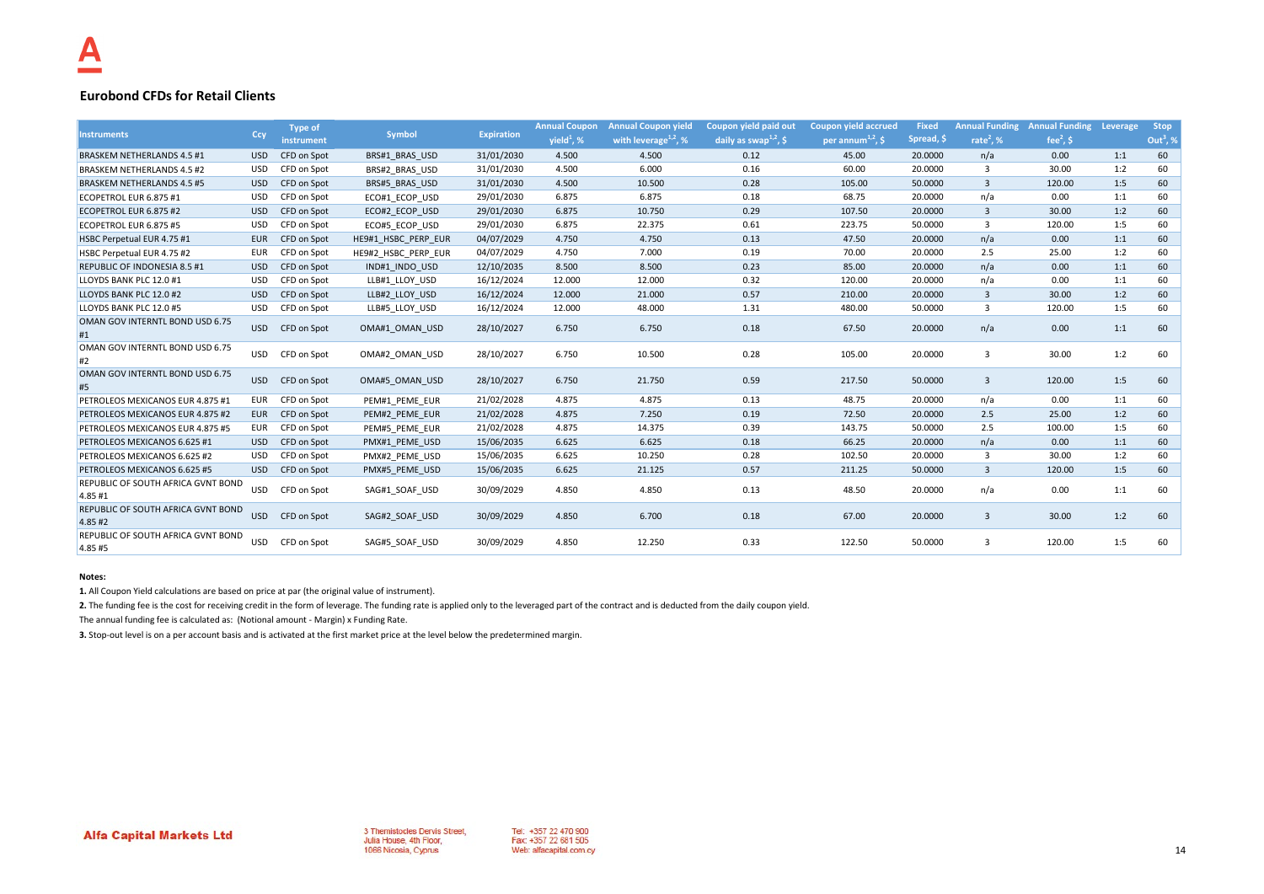## **Eurobond CFDs for Retail Clients**

|                                                     |            | <b>Type of</b> |                     |                   | <b>Annual Coupon</b> | <b>Annual Coupon yield</b> | Coupon yield paid out             | <b>Coupon yield accrued</b>                | <b>Fixed</b> | <b>Annual Funding</b>   | <b>Annual Funding</b> | Leverage | <b>Stop</b>            |
|-----------------------------------------------------|------------|----------------|---------------------|-------------------|----------------------|----------------------------|-----------------------------------|--------------------------------------------|--------------|-------------------------|-----------------------|----------|------------------------|
| <b>Instruments</b>                                  | Ccy        | instrument     | <b>Symbol</b>       | <b>Expiration</b> | $yield1$ , %         | with leverage $^{1,2}$ , % | daily as swap <sup>1,2</sup> , \$ | per annum <sup><math>1,2</math></sup> , \$ | Spread, \$   | rate <sup>2</sup> , $%$ | fee $2$ , \$          |          | Out <sup>3</sup> , $%$ |
| <b>BRASKEM NETHERLANDS 4.5 #1</b>                   | <b>USD</b> | CFD on Spot    | BRS#1 BRAS USD      | 31/01/2030        | 4.500                | 4.500                      | 0.12                              | 45.00                                      | 20,0000      | n/a                     | 0.00                  | 1:1      | 60                     |
| <b>BRASKEM NETHERLANDS 4.5 #2</b>                   | USD        | CFD on Spot    | BRS#2 BRAS USD      | 31/01/2030        | 4.500                | 6.000                      | 0.16                              | 60.00                                      | 20.0000      | 3                       | 30.00                 | 1:2      | 60                     |
| <b>BRASKEM NETHERLANDS 4.5 #5</b>                   | <b>USD</b> | CFD on Spot    | BRS#5 BRAS USD      | 31/01/2030        | 4.500                | 10.500                     | 0.28                              | 105.00                                     | 50.0000      | 3                       | 120.00                | 1:5      | 60                     |
| ECOPETROL EUR 6.875 #1                              | <b>USD</b> | CFD on Spot    | ECO#1 ECOP USD      | 29/01/2030        | 6.875                | 6.875                      | 0.18                              | 68.75                                      | 20.0000      | n/a                     | 0.00                  | 1:1      | 60                     |
| ECOPETROL EUR 6.875 #2                              | <b>USD</b> | CFD on Spot    | ECO#2 ECOP USD      | 29/01/2030        | 6.875                | 10.750                     | 0.29                              | 107.50                                     | 20,0000      | 3                       | 30.00                 | 1:2      | 60                     |
| ECOPETROL EUR 6.875 #5                              | <b>USD</b> | CFD on Spot    | ECO#5 ECOP USD      | 29/01/2030        | 6.875                | 22.375                     | 0.61                              | 223.75                                     | 50.0000      | 3                       | 120.00                | 1:5      | 60                     |
| HSBC Perpetual EUR 4.75 #1                          | <b>EUR</b> | CFD on Spot    | HE9#1 HSBC PERP EUR | 04/07/2029        | 4.750                | 4.750                      | 0.13                              | 47.50                                      | 20.0000      | n/a                     | 0.00                  | 1:1      | 60                     |
| HSBC Perpetual EUR 4.75 #2                          | <b>EUR</b> | CFD on Spot    | HE9#2 HSBC PERP EUR | 04/07/2029        | 4.750                | 7.000                      | 0.19                              | 70.00                                      | 20.0000      | 2.5                     | 25.00                 | 1:2      | 60                     |
| <b>REPUBLIC OF INDONESIA 8.5 #1</b>                 | <b>USD</b> | CFD on Spot    | IND#1 INDO USD      | 12/10/2035        | 8.500                | 8.500                      | 0.23                              | 85.00                                      | 20,0000      | n/a                     | 0.00                  | 1:1      | 60                     |
| LLOYDS BANK PLC 12.0 #1                             | <b>USD</b> | CFD on Spot    | LLB#1 LLOY USD      | 16/12/2024        | 12.000               | 12.000                     | 0.32                              | 120.00                                     | 20.0000      | n/a                     | 0.00                  | 1:1      | 60                     |
| LLOYDS BANK PLC 12.0 #2                             | <b>USD</b> | CFD on Spot    | LLB#2 LLOY USD      | 16/12/2024        | 12.000               | 21.000                     | 0.57                              | 210.00                                     | 20,0000      | $\overline{\mathbf{3}}$ | 30.00                 | 1:2      | 60                     |
| LLOYDS BANK PLC 12.0 #5                             | <b>USD</b> | CFD on Spot    | LLB#5 LLOY USD      | 16/12/2024        | 12.000               | 48.000                     | 1.31                              | 480.00                                     | 50.0000      | 3                       | 120.00                | 1:5      | 60                     |
| OMAN GOV INTERNTL BOND USD 6.75<br>#1               | <b>USD</b> | CFD on Spot    | OMA#1 OMAN USD      | 28/10/2027        | 6.750                | 6.750                      | 0.18                              | 67.50                                      | 20.0000      | n/a                     | 0.00                  | 1:1      | 60                     |
| OMAN GOV INTERNTL BOND USD 6.75<br>#2               | <b>USD</b> | CFD on Spot    | OMA#2 OMAN USD      | 28/10/2027        | 6.750                | 10.500                     | 0.28                              | 105.00                                     | 20.0000      | $\overline{3}$          | 30.00                 | 1:2      | 60                     |
| OMAN GOV INTERNTL BOND USD 6.75<br>#5               | <b>USD</b> | CFD on Spot    | OMA#5 OMAN USD      | 28/10/2027        | 6.750                | 21.750                     | 0.59                              | 217.50                                     | 50.0000      | $\overline{\mathbf{3}}$ | 120.00                | 1:5      | 60                     |
| PETROLEOS MEXICANOS EUR 4.875 #1                    | EUR        | CFD on Spot    | PEM#1 PEME EUR      | 21/02/2028        | 4.875                | 4.875                      | 0.13                              | 48.75                                      | 20.0000      | n/a                     | 0.00                  | 1:1      | 60                     |
| PETROLEOS MEXICANOS EUR 4.875 #2                    | <b>EUR</b> | CFD on Spot    | PEM#2 PEME EUR      | 21/02/2028        | 4.875                | 7.250                      | 0.19                              | 72.50                                      | 20.0000      | 2.5                     | 25.00                 | 1:2      | 60                     |
| PETROLEOS MEXICANOS EUR 4.875 #5                    | EUR        | CFD on Spot    | PEM#5 PEME EUR      | 21/02/2028        | 4.875                | 14.375                     | 0.39                              | 143.75                                     | 50.0000      | 2.5                     | 100.00                | 1:5      | 60                     |
| PETROLEOS MEXICANOS 6.625 #1                        | <b>USD</b> | CFD on Spot    | PMX#1 PEME USD      | 15/06/2035        | 6.625                | 6.625                      | 0.18                              | 66.25                                      | 20,0000      | n/a                     | 0.00                  | 1:1      | 60                     |
| PETROLEOS MEXICANOS 6.625 #2                        | USD        | CFD on Spot    | PMX#2 PEME USD      | 15/06/2035        | 6.625                | 10.250                     | 0.28                              | 102.50                                     | 20.0000      | -3                      | 30.00                 | 1:2      | 60                     |
| PETROLEOS MEXICANOS 6.625 #5                        | <b>USD</b> | CFD on Spot    | PMX#5 PEME USD      | 15/06/2035        | 6.625                | 21.125                     | 0.57                              | 211.25                                     | 50.0000      | $\overline{\mathbf{3}}$ | 120.00                | 1:5      | 60                     |
| REPUBLIC OF SOUTH AFRICA GVNT BOND<br>4.85 #1       | <b>USD</b> | CFD on Spot    | SAG#1 SOAF USD      | 30/09/2029        | 4.850                | 4.850                      | 0.13                              | 48.50                                      | 20.0000      | n/a                     | 0.00                  | 1:1      | 60                     |
| REPUBLIC OF SOUTH AFRICA GVNT BOND<br>4.85#2        | <b>USD</b> | CFD on Spot    | SAG#2 SOAF USD      | 30/09/2029        | 4.850                | 6.700                      | 0.18                              | 67.00                                      | 20.0000      | $\overline{3}$          | 30.00                 | 1:2      | 60                     |
| <b>REPUBLIC OF SOUTH AFRICA GVNT BOND</b><br>4.85#5 | <b>USD</b> | CFD on Spot    | SAG#5 SOAF USD      | 30/09/2029        | 4.850                | 12.250                     | 0.33                              | 122.50                                     | 50.0000      | 3                       | 120.00                | 1:5      | 60                     |

### **Notes:**

**1.** All Coupon Yield calculations are based on price at par (the original value of instrument).

2. The funding fee is the cost for receiving credit in the form of leverage. The funding rate is applied only to the leveraged part of the contract and is deducted from the daily coupon yield.

The annual funding fee is calculated as: (Notional amount - Margin) x Funding Rate.

**3.** Stop-out level is on a per account basis and is activated at the first market price at the level below the predetermined margin.